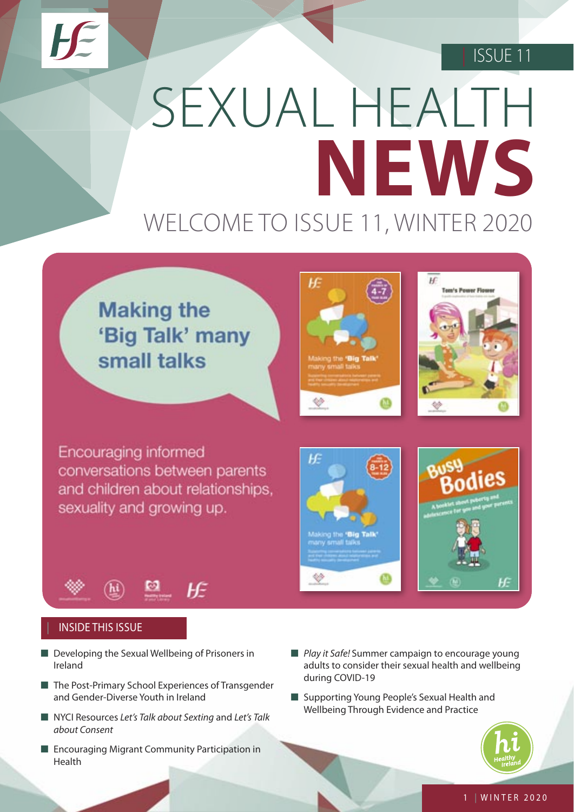# | ISSUE 11

# SEXUAL HEALTH **NEWS** WELCOME TO ISSUE 11, WINTER 2020

# **Making the** 'Big Talk' many small talks



◈



Encouraging informed conversations between parents and children about relationships. sexuality and growing up.



## | INSIDE THIS ISSUE

- Developing the Sexual Wellbeing of Prisoners in Ireland
- The Post-Primary School Experiences of Transgender and Gender-Diverse Youth in Ireland
- NYCI Resources Let's Talk about Sexting and Let's Talk about Consent
- Encouraging Migrant Community Participation in Health
- *Play it Safe!* Summer campaign to encourage young adults to consider their sexual health and wellbeing during COVID-19
- Supporting Young People's Sexual Health and Wellbeing Through Evidence and Practice



ŀF.

#### 1 | WINTER 2020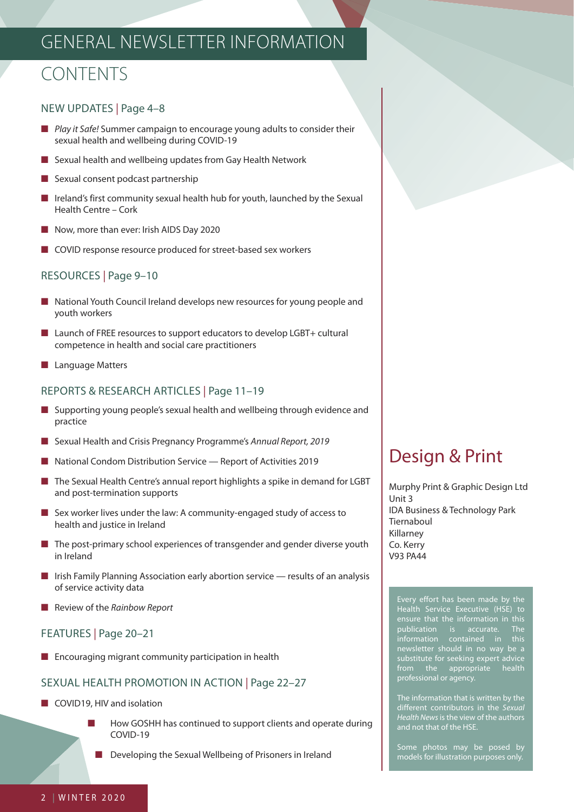# GENERAL NEWSLETTER INFORMATION

# CONTENTS

## NEW UPDATES | Page 4–8

- Play it Safe! Summer campaign to encourage young adults to consider their sexual health and wellbeing during COVID-19
- Sexual health and wellbeing updates from Gay Health Network
- Sexual consent podcast partnership
- Ireland's first community sexual health hub for youth, launched by the Sexual Health Centre – Cork
- Now, more than ever: Irish AIDS Day 2020
- COVID response resource produced for street-based sex workers

## RESOURCES | Page 9–10

- National Youth Council Ireland develops new resources for young people and youth workers
- Launch of FREE resources to support educators to develop LGBT+ cultural competence in health and social care practitioners
- Language Matters

## REPORTS & RESEARCH ARTICLES | Page 11–19

- Supporting young people's sexual health and wellbeing through evidence and practice
- Sexual Health and Crisis Pregnancy Programme's Annual Report, 2019
- National Condom Distribution Service Report of Activities 2019
- The Sexual Health Centre's annual report highlights a spike in demand for LGBT and post-termination supports
- Sex worker lives under the law: A community-engaged study of access to health and justice in Ireland
- The post-primary school experiences of transgender and gender diverse youth in Ireland
- Irish Family Planning Association early abortion service results of an analysis of service activity data
- Review of the Rainbow Report

## FEATURES | Page 20–21

■ Encouraging migrant community participation in health

## SEXUAL HEALTH PROMOTION IN ACTION | Page 22–27

- COVID19, HIV and isolation
	- How GOSHH has continued to support clients and operate during COVID-19

■ Developing the Sexual Wellbeing of Prisoners in Ireland

# Design & Print

Murphy Print & Graphic Design Ltd Unit 3 IDA Business & Technology Park Tiernaboul Killarney Co. Kerry V93 PA44

Health Service Executive (HSE) to publication is accurate. The information contained in this newsletter should in no way be a substitute for seeking expert advice from the appropriate health professional or agency.

The information that is written by the different contributors in the Sexual Health News is the view of the authors and not that of the HSE.

Some photos may be posed by models for illustration purposes only.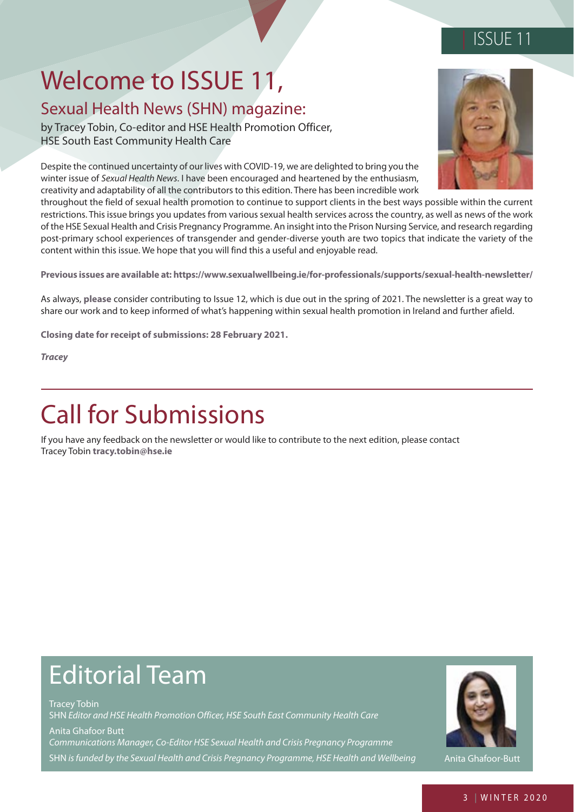## | ISSUE 11

# Welcome to ISSUE 11,

## Sexual Health News (SHN) magazine:

by Tracey Tobin, Co-editor and HSE Health Promotion Officer, HSE South East Community Health Care

Despite the continued uncertainty of our lives with COVID-19, we are delighted to bring you the winter issue of Sexual Health News. I have been encouraged and heartened by the enthusiasm, creativity and adaptability of all the contributors to this edition. There has been incredible work

throughout the field of sexual health promotion to continue to support clients in the best ways possible within the current restrictions. This issue brings you updates from various sexual health services across the country, as well as news of the work of the HSE Sexual Health and Crisis Pregnancy Programme. An insight into the Prison Nursing Service, and research regarding post-primary school experiences of transgender and gender-diverse youth are two topics that indicate the variety of the content within this issue. We hope that you will find this a useful and enjoyable read.

**Previous issues are available at:<https://www.sexualwellbeing.ie/for-professionals/supports/sexual-health-newsletter/>**

As always, **please** consider contributing to Issue 12, which is due out in the spring of 2021. The newsletter is a great way to share our work and to keep informed of what's happening within sexual health promotion in Ireland and further afield.

**Closing date for receipt of submissions: 28 February 2021.**

*Tracey* 

# Call for Submissions

If you have any feedback on the newsletter or would like to contribute to the next edition, please contact Tracey Tobin **tracy.tobin@hse.ie** 

# Editorial Team

Tracey Tobin SHN Editor and HSE Health Promotion Officer, HSE South East Community Health Care Anita Ghafoor Butt Communications Manager, Co-Editor HSE Sexual Health and Crisis Pregnancy Programme SHN is funded by the Sexual Health and Crisis Pregnancy Programme, HSE Health and Wellbeing Anita Ghafoor-Butt

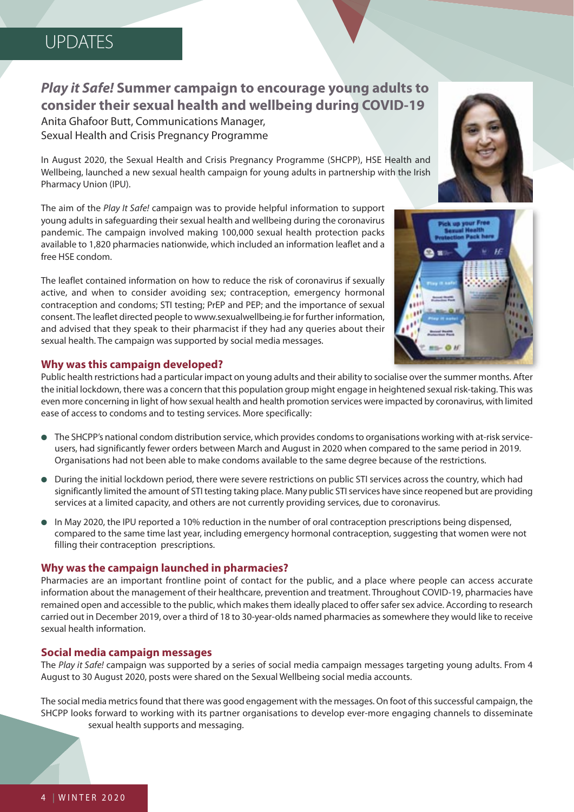## *Play it Safe!* **Summer campaign to encourage young adults to consider their sexual health and wellbeing during COVID-19**

Anita Ghafoor Butt, Communications Manager, Sexual Health and Crisis Pregnancy Programme

In August 2020, the Sexual Health and Crisis Pregnancy Programme (SHCPP), HSE Health and Wellbeing, launched a new sexual health campaign for young adults in partnership with the Irish Pharmacy Union (IPU).

The aim of the Play It Safe! campaign was to provide helpful information to support young adults in safeguarding their sexual health and wellbeing during the coronavirus pandemic. The campaign involved making 100,000 sexual health protection packs available to 1,820 pharmacies nationwide, which included an information leaflet and a free HSE condom.

The leaflet contained information on how to reduce the risk of coronavirus if sexually active, and when to consider avoiding sex; contraception, emergency hormonal contraception and condoms; STI testing; PrEP and PEP; and the importance of sexual consent. The leaflet directed people to<www.sexualwellbeing.ie>for further information, and advised that they speak to their pharmacist if they had any queries about their sexual health. The campaign was supported by social media messages.

## **Why was this campaign developed?**

Public health restrictions had a particular impact on young adults and their ability to socialise over the summer months. After the initial lockdown, there was a concern that this population group might engage in heightened sexual risk-taking. This was even more concerning in light of how sexual health and health promotion services were impacted by coronavirus, with limited ease of access to condoms and to testing services. More specifically:

- The SHCPP's national condom distribution service, which provides condoms to organisations working with at-risk serviceusers, had significantly fewer orders between March and August in 2020 when compared to the same period in 2019. Organisations had not been able to make condoms available to the same degree because of the restrictions.
- During the initial lockdown period, there were severe restrictions on public STI services across the country, which had significantly limited the amount of STI testing taking place. Many public STI services have since reopened but are providing services at a limited capacity, and others are not currently providing services, due to coronavirus.
- In May 2020, the IPU reported a 10% reduction in the number of oral contraception prescriptions being dispensed, compared to the same time last year, including emergency hormonal contraception, suggesting that women were not filling their contraception prescriptions.

## **Why was the campaign launched in pharmacies?**

Pharmacies are an important frontline point of contact for the public, and a place where people can access accurate information about the management of their healthcare, prevention and treatment. Throughout COVID-19, pharmacies have remained open and accessible to the public, which makes them ideally placed to offer safer sex advice. According to research carried out in December 2019, over a third of 18 to 30-year-olds named pharmacies as somewhere they would like to receive sexual health information.

## **Social media campaign messages**

The Play it Safe! campaign was supported by a series of social media campaign messages targeting young adults. From 4 August to 30 August 2020, posts were shared on the Sexual Wellbeing social media accounts.

The social media metrics found that there was good engagement with the messages. On foot of this successful campaign, the SHCPP looks forward to working with its partner organisations to develop ever-more engaging channels to disseminate sexual health supports and messaging.



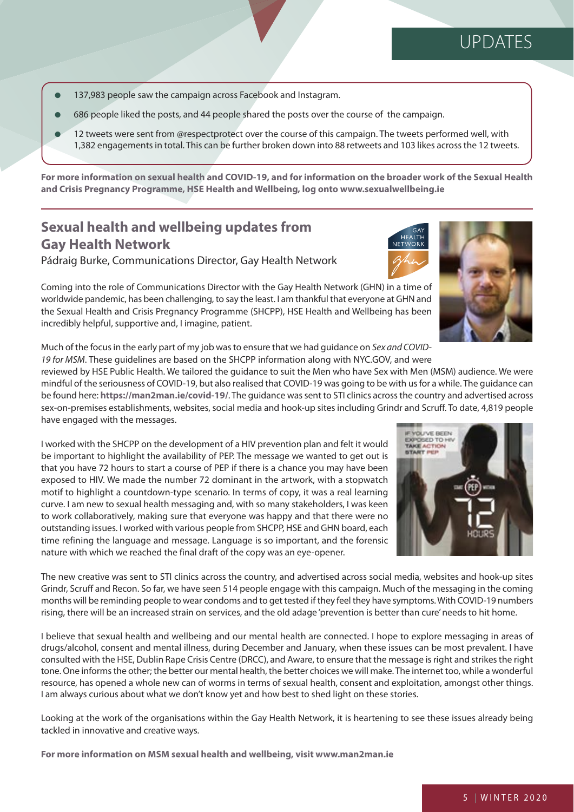- 137,983 people saw the campaign across Facebook and Instagram.
- 686 people liked the posts, and 44 people shared the posts over the course of the campaign.
- 12 tweets were sent from @respectprotect over the course of this campaign. The tweets performed well, with 1,382 engagements in total. This can be further broken down into 88 retweets and 103 likes across the 12 tweets.

**For more information on sexual health and COVID-19, and for information on the broader work of the Sexual Health and Crisis Pregnancy Programme, HSE Health and Wellbeing, log onto<www.sexualwellbeing.ie>**

## **Sexual health and wellbeing updates from Gay Health Network**

Pádraig Burke, Communications Director, Gay Health Network



Coming into the role of Communications Director with the Gay Health Network (GHN) in a time of worldwide pandemic, has been challenging, to say the least. I am thankful that everyone at GHN and the Sexual Health and Crisis Pregnancy Programme (SHCPP), HSE Health and Wellbeing has been incredibly helpful, supportive and, I imagine, patient.

Much of the focus in the early part of my job was to ensure that we had guidance on Sex and COVID-19 for MSM. These guidelines are based on the SHCPP information along with NYC.GOV, and were

reviewed by HSE Public Health. We tailored the guidance to suit the Men who have Sex with Men (MSM) audience. We were mindful of the seriousness of COVID-19, but also realised that COVID-19 was going to be with us for a while. The guidance can be found here: **<https://man2man.ie/covid-19/>**. The guidance was sent to STI clinics across the country and advertised across sex-on-premises establishments, websites, social media and hook-up sites including Grindr and Scruff. To date, 4,819 people have engaged with the messages.

I worked with the SHCPP on the development of a HIV prevention plan and felt it would be important to highlight the availability of PEP. The message we wanted to get out is that you have 72 hours to start a course of PEP if there is a chance you may have been exposed to HIV. We made the number 72 dominant in the artwork, with a stopwatch motif to highlight a countdown-type scenario. In terms of copy, it was a real learning curve. I am new to sexual health messaging and, with so many stakeholders, I was keen to work collaboratively, making sure that everyone was happy and that there were no outstanding issues. I worked with various people from SHCPP, HSE and GHN board, each time refining the language and message. Language is so important, and the forensic nature with which we reached the final draft of the copy was an eye-opener.

The new creative was sent to STI clinics across the country, and advertised across social media, websites and hook-up sites Grindr, Scruff and Recon. So far, we have seen 514 people engage with this campaign. Much of the messaging in the coming months will be reminding people to wear condoms and to get tested if they feel they have symptoms. With COVID-19 numbers rising, there will be an increased strain on services, and the old adage 'prevention is better than cure' needs to hit home.

I believe that sexual health and wellbeing and our mental health are connected. I hope to explore messaging in areas of drugs/alcohol, consent and mental illness, during December and January, when these issues can be most prevalent. I have consulted with the HSE, Dublin Rape Crisis Centre (DRCC), and Aware, to ensure that the message is right and strikes the right tone. One informs the other; the better our mental health, the better choices we will make. The internet too, while a wonderful resource, has opened a whole new can of worms in terms of sexual health, consent and exploitation, amongst other things. I am always curious about what we don't know yet and how best to shed light on these stories.

Looking at the work of the organisations within the Gay Health Network, it is heartening to see these issues already being tackled in innovative and creative ways.

**For more information on MSM sexual health and wellbeing, visit<www.man2man.ie>**

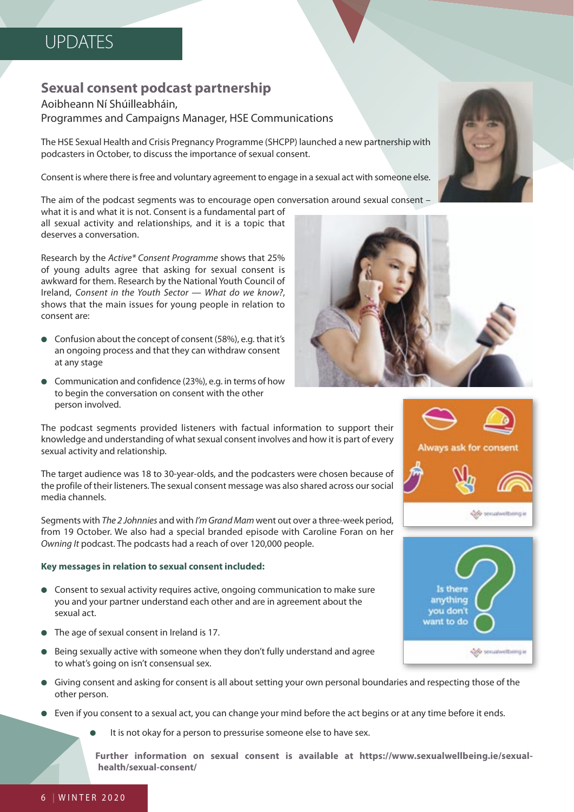## **Sexual consent podcast partnership**

## Aoibheann Ní Shúilleabháin, Programmes and Campaigns Manager, HSE Communications

The HSE Sexual Health and Crisis Pregnancy Programme (SHCPP) launched a new partnership with podcasters in October, to discuss the importance of sexual consent.

Consent is where there is free and voluntary agreement to engage in a sexual act with someone else.

The aim of the podcast segments was to encourage open conversation around sexual consent –

what it is and what it is not. Consent is a fundamental part of all sexual activity and relationships, and it is a topic that deserves a conversation.

Research by the Active\* Consent Programme shows that 25% of young adults agree that asking for sexual consent is awkward for them. Research by the National Youth Council of Ireland, Consent in the Youth Sector — What do we know?, shows that the main issues for young people in relation to consent are:

- Confusion about the concept of consent (58%), e.g. that it's an ongoing process and that they can withdraw consent at any stage
- Communication and confidence (23%), e.g. in terms of how to begin the conversation on consent with the other person involved.

The podcast segments provided listeners with factual information to support their knowledge and understanding of what sexual consent involves and how it is part of every sexual activity and relationship.

The target audience was 18 to 30-year-olds, and the podcasters were chosen because of the profile of their listeners. The sexual consent message was also shared across our social media channels.

Segments with The 2 Johnnies and with I'm Grand Mam went out over a three-week period, from 19 October. We also had a special branded episode with Caroline Foran on her Owning It podcast. The podcasts had a reach of over 120,000 people.

## **Key messages in relation to sexual consent included:**

- Consent to sexual activity requires active, ongoing communication to make sure you and your partner understand each other and are in agreement about the sexual act.
- The age of sexual consent in Ireland is 17.
- Being sexually active with someone when they don't fully understand and agree to what's going on isn't consensual sex.
- Giving consent and asking for consent is all about setting your own personal boundaries and respecting those of the other person.
- Even if you consent to a sexual act, you can change your mind before the act begins or at any time before it ends.
	- It is not okay for a person to pressurise someone else to have sex.

**Further information on sexual consent is available at [https://www.sexualwellbeing.ie/sexual](https://www.sexualwellbeing.ie/sexual-health/sexual-consent/)[health/sexual-consent/](https://www.sexualwellbeing.ie/sexual-health/sexual-consent/)**





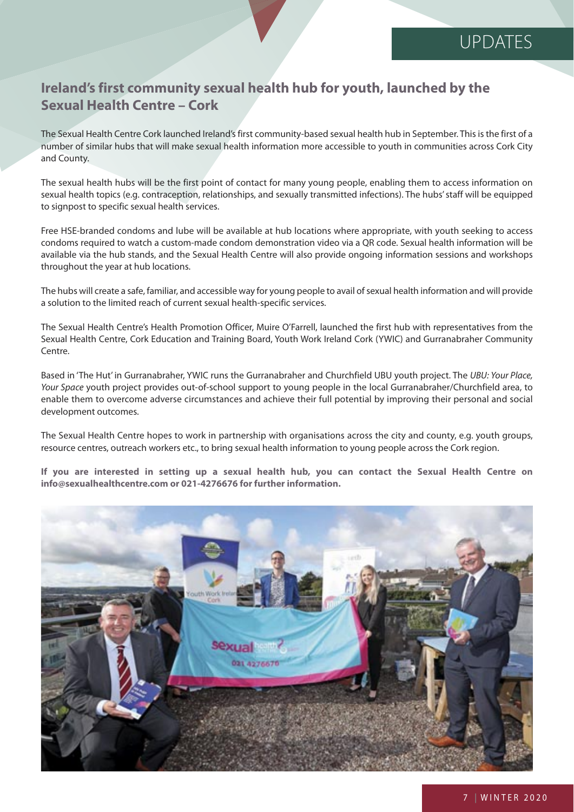## **Ireland's first community sexual health hub for youth, launched by the Sexual Health Centre – Cork**

The Sexual Health Centre Cork launched Ireland's first community-based sexual health hub in September. This is the first of a number of similar hubs that will make sexual health information more accessible to youth in communities across Cork City and County.

The sexual health hubs will be the first point of contact for many young people, enabling them to access information on sexual health topics (e.g. contraception, relationships, and sexually transmitted infections). The hubs' staff will be equipped to signpost to specific sexual health services.

Free HSE-branded condoms and lube will be available at hub locations where appropriate, with youth seeking to access condoms required to watch a custom-made condom demonstration video via a QR code. Sexual health information will be available via the hub stands, and the Sexual Health Centre will also provide ongoing information sessions and workshops throughout the year at hub locations.

The hubs will create a safe, familiar, and accessible way for young people to avail of sexual health information and will provide a solution to the limited reach of current sexual health-specific services.

The Sexual Health Centre's Health Promotion Officer, Muire O'Farrell, launched the first hub with representatives from the Sexual Health Centre, Cork Education and Training Board, Youth Work Ireland Cork (YWIC) and Gurranabraher Community Centre.

Based in 'The Hut' in Gurranabraher, YWIC runs the Gurranabraher and Churchfield UBU youth project. The UBU: Your Place, Your Space youth project provides out-of-school support to young people in the local Gurranabraher/Churchfield area, to enable them to overcome adverse circumstances and achieve their full potential by improving their personal and social development outcomes.

The Sexual Health Centre hopes to work in partnership with organisations across the city and county, e.g. youth groups, resource centres, outreach workers etc., to bring sexual health information to young people across the Cork region.

**If you are interested in setting up a sexual health hub, you can contact the Sexual Health Centre on info@sexualhealthcentre.com or 021-4276676 for further information.** 

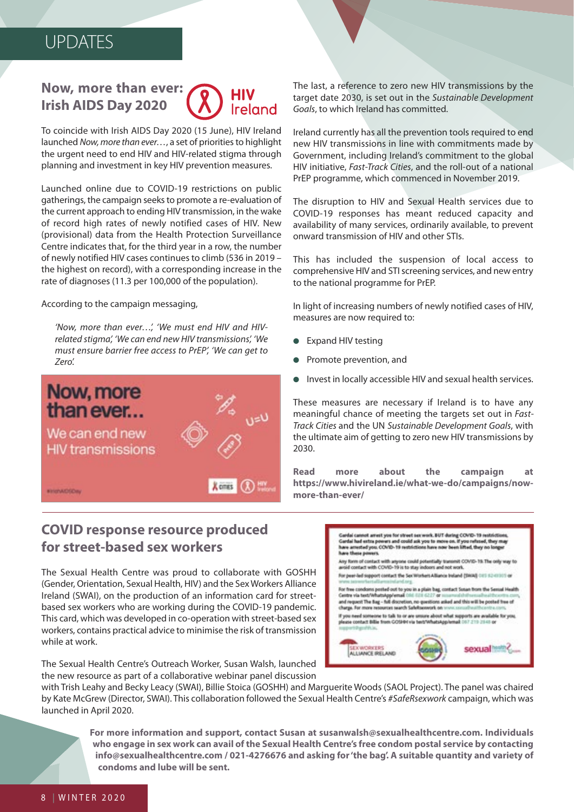## **Now, more than ever: Irish AIDS Day 2020** Ireland

To coincide with Irish AIDS Day 2020 (15 June), HIV Ireland launched Now, more than ever…, a set of priorities to highlight the urgent need to end HIV and HIV-related stigma through planning and investment in key HIV prevention measures.

Launched online due to COVID-19 restrictions on public gatherings, the campaign seeks to promote a re-evaluation of the current approach to ending HIV transmission, in the wake of record high rates of newly notified cases of HIV. New (provisional) data from the Health Protection Surveillance Centre indicates that, for the third year in a row, the number of newly notified HIV cases continues to climb (536 in 2019 – the highest on record), with a corresponding increase in the rate of diagnoses (11.3 per 100,000 of the population).

#### According to the campaign messaging,

'Now, more than ever…', 'We must end HIV and HIVrelated stigma', 'We can end new HIV transmissions', 'We must ensure barrier free access to PrEP', 'We can get to Zero'.



## **COVID response resource produced for street-based sex workers**

The Sexual Health Centre was proud to collaborate with GOSHH (Gender, Orientation, Sexual Health, HIV) and the Sex Workers Alliance Ireland (SWAI), on the production of an information card for streetbased sex workers who are working during the COVID-19 pandemic. This card, which was developed in co-operation with street-based sex workers, contains practical advice to minimise the risk of transmission while at work.

The Sexual Health Centre's Outreach Worker, Susan Walsh, launched the new resource as part of a collaborative webinar panel discussion

with Trish Leahy and Becky Leacy (SWAI), Billie Stoica (GOSHH) and Marguerite Woods (SAOL Project). The panel was chaired by Kate McGrew (Director, SWAI). This collaboration followed the Sexual Health Centre's #SafeRsexwork campaign, which was launched in April 2020.

**For more information and support, contact Susan at susanwalsh@sexualhealthcentre.com. Individuals who engage in sex work can avail of the Sexual Health Centre's free condom postal service by contacting info@sexualhealthcentre.com / 021-4276676 and asking for 'the bag'. A suitable quantity and variety of condoms and lube will be sent.**

The last, a reference to zero new HIV transmissions by the target date 2030, is set out in the Sustainable Development Goals, to which Ireland has committed.

Ireland currently has all the prevention tools required to end new HIV transmissions in line with commitments made by Government, including Ireland's commitment to the global HIV initiative, Fast-Track Cities, and the roll-out of a national PrEP programme, which commenced in November 2019.

The disruption to HIV and Sexual Health services due to COVID-19 responses has meant reduced capacity and availability of many services, ordinarily available, to prevent onward transmission of HIV and other STIs.

This has included the suspension of local access to comprehensive HIV and STI screening services, and new entry to the national programme for PrEP.

In light of increasing numbers of newly notified cases of HIV, measures are now required to:

- Expand HIV testing
- Promote prevention, and
- Invest in locally accessible HIV and sexual health services.

These measures are necessary if Ireland is to have any meaningful chance of meeting the targets set out in Fast-Track Cities and the UN Sustainable Development Goals, with the ultimate aim of getting to zero new HIV transmissions by 2030.

**Read more about the campaign at [https://www.hivireland.ie/what-we-do/campaigns/now](https://www.hivireland.ie/what-we-do/campaigns/now-more-than-ever/)[more-than-ever/](https://www.hivireland.ie/what-we-do/campaigns/now-more-than-ever/)**

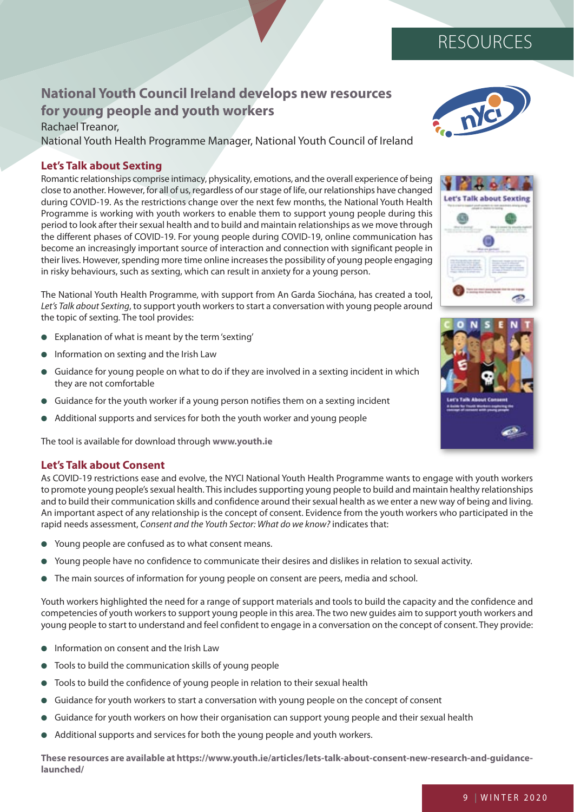## **National Youth Council Ireland develops new resources for young people and youth workers**

Rachael Treanor, National Youth Health Programme Manager, National Youth Council of Ireland

## **Let's Talk about Sexting**

Romantic relationships comprise intimacy, physicality, emotions, and the overall experience of being close to another. However, for all of us, regardless of our stage of life, our relationships have changed during COVID-19. As the restrictions change over the next few months, the National Youth Health Programme is working with youth workers to enable them to support young people during this period to look after their sexual health and to build and maintain relationships as we move through the different phases of COVID-19. For young people during COVID-19, online communication has become an increasingly important source of interaction and connection with significant people in their lives. However, spending more time online increases the possibility of young people engaging in risky behaviours, such as sexting, which can result in anxiety for a young person.

The National Youth Health Programme, with support from An Garda Siochána, has created a tool, Let's Talk about Sexting, to support youth workers to start a conversation with young people around the topic of sexting. The tool provides:

- Explanation of what is meant by the term 'sexting'
- Information on sexting and the Irish Law
- Guidance for young people on what to do if they are involved in a sexting incident in which they are not comfortable
- Guidance for the youth worker if a young person notifies them on a sexting incident
- Additional supports and services for both the youth worker and young people

The tool is available for download through **<www.youth.ie>**

## **Let's Talk about Consent**

As COVID-19 restrictions ease and evolve, the NYCI National Youth Health Programme wants to engage with youth workers to promote young people's sexual health. This includes supporting young people to build and maintain healthy relationships and to build their communication skills and confidence around their sexual health as we enter a new way of being and living. An important aspect of any relationship is the concept of consent. Evidence from the youth workers who participated in the rapid needs assessment, Consent and the Youth Sector: What do we know? indicates that:

- Young people are confused as to what consent means.
- Young people have no confidence to communicate their desires and dislikes in relation to sexual activity.
- The main sources of information for young people on consent are peers, media and school.

Youth workers highlighted the need for a range of support materials and tools to build the capacity and the confidence and competencies of youth workers to support young people in this area. The two new guides aim to support youth workers and young people to start to understand and feel confident to engage in a conversation on the concept of consent. They provide:

- Information on consent and the Irish Law
- Tools to build the communication skills of young people
- Tools to build the confidence of young people in relation to their sexual health
- Guidance for youth workers to start a conversation with young people on the concept of consent
- Guidance for youth workers on how their organisation can support young people and their sexual health
- Additional supports and services for both the young people and youth workers.

**These resources are available at [https://www.youth.ie/articles/lets-talk-about-consent-new-research-and-guidance](https://www.youth.ie/articles/lets-talk-about-consent-new-research-and-guidance-launched/ )[launched/](https://www.youth.ie/articles/lets-talk-about-consent-new-research-and-guidance-launched/ )** 



RESOURCES



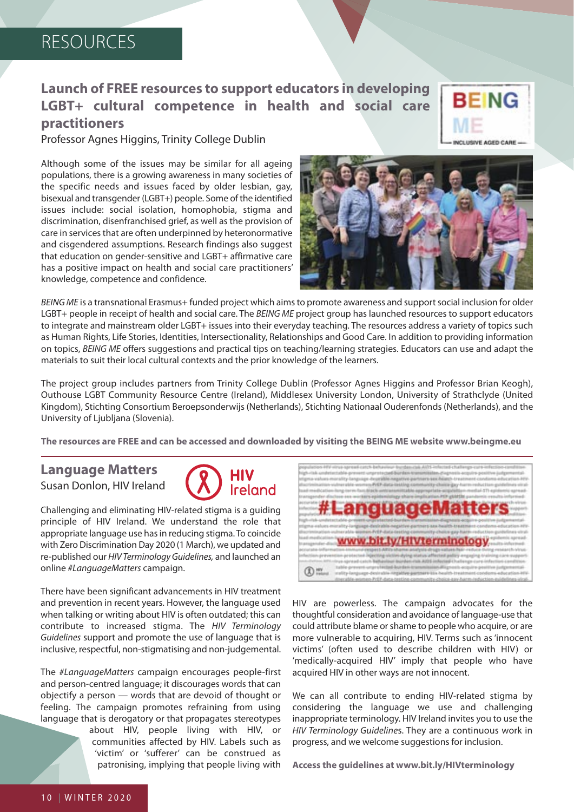## RESOURCES

## **Launch of FREE resources to support educators in developing LGBT+ cultural competence in health and social care practitioners**

Professor Agnes Higgins, Trinity College Dublin

Although some of the issues may be similar for all ageing populations, there is a growing awareness in many societies of the specific needs and issues faced by older lesbian, gay, bisexual and transgender (LGBT+) people. Some of the identified issues include: social isolation, homophobia, stigma and discrimination, disenfranchised grief, as well as the provision of care in services that are often underpinned by heteronormative and cisgendered assumptions. Research findings also suggest that education on gender-sensitive and LGBT+ affirmative care has a positive impact on health and social care practitioners' knowledge, competence and confidence.





BEING ME is a transnational Erasmus+ funded project which aims to promote awareness and support social inclusion for older LGBT+ people in receipt of health and social care. The BEING ME project group has launched resources to support educators to integrate and mainstream older LGBT+ issues into their everyday teaching. The resources address a variety of topics such as Human Rights, Life Stories, Identities, Intersectionality, Relationships and Good Care. In addition to providing information on topics, BEING ME offers suggestions and practical tips on teaching/learning strategies. Educators can use and adapt the materials to suit their local cultural contexts and the prior knowledge of the learners.

The project group includes partners from Trinity College Dublin (Professor Agnes Higgins and Professor Brian Keogh), Outhouse LGBT Community Resource Centre (Ireland), Middlesex University London, University of Strathclyde (United Kingdom), Stichting Consortium Beroepsonderwijs (Netherlands), Stichting Nationaal Ouderenfonds (Netherlands), and the University of Ljubljana (Slovenia).

**The resources are FREE and can be accessed and downloaded by visiting the BEING ME website<www.beingme.eu>**

# **Language Matters**

Susan Donlon, HIV Ireland



Challenging and eliminating HIV-related stigma is a guiding principle of HIV Ireland. We understand the role that appropriate language use has in reducing stigma. To coincide with Zero Discrimination Day 2020 (1 March), we updated and re-published our HIV Terminology Guidelines, and launched an online #LanguageMatters campaign.

There have been significant advancements in HIV treatment and prevention in recent years. However, the language used when talking or writing about HIV is often outdated; this can contribute to increased stigma. The HIV Terminology Guidelines support and promote the use of language that is inclusive, respectful, non-stigmatising and non-judgemental.

The #LanguageMatters campaign encourages people-first and person-centred language; it discourages words that can objectify a person — words that are devoid of thought or feeling. The campaign promotes refraining from using language that is derogatory or that propagates stereotypes

> about HIV, people living with HIV, or communities affected by HIV. Labels such as 'victim' or 'sufferer' can be construed as patronising, implying that people living with



HIV are powerless. The campaign advocates for the thoughtful consideration and avoidance of language-use that could attribute blame or shame to people who acquire, or are more vulnerable to acquiring, HIV. Terms such as 'innocent victims' (often used to describe children with HIV) or 'medically-acquired HIV' imply that people who have acquired HIV in other ways are not innocent.

We can all contribute to ending HIV-related stigma by considering the language we use and challenging inappropriate terminology. HIV Ireland invites you to use the HIV Terminology Guidelines. They are a continuous work in progress, and we welcome suggestions for inclusion.

**Access the guidelines at<www.bit.ly/HIVterminology>**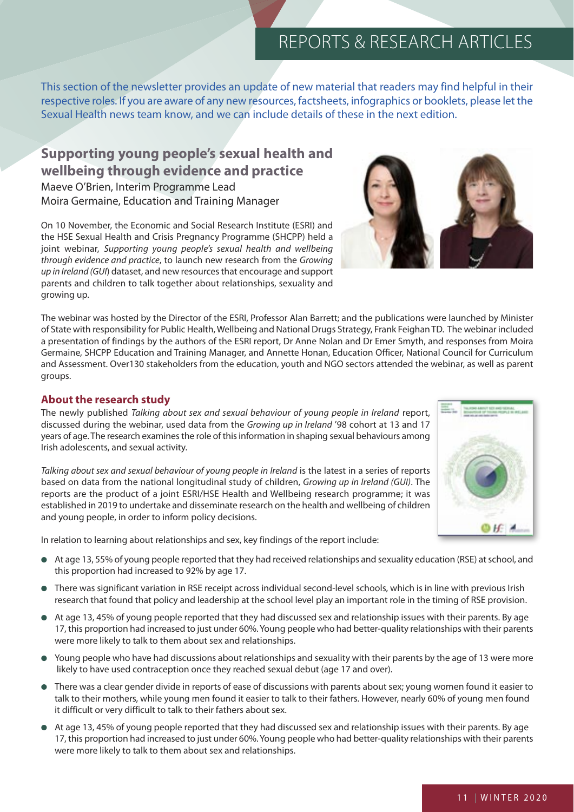This section of the newsletter provides an update of new material that readers may find helpful in their respective roles. If you are aware of any new resources, factsheets, infographics or booklets, please let the Sexual Health news team know, and we can include details of these in the next edition.

## **Supporting young people's sexual health and wellbeing through evidence and practice**

Maeve O'Brien, Interim Programme Lead Moira Germaine, Education and Training Manager

On 10 November, the Economic and Social Research Institute (ESRI) and the HSE Sexual Health and Crisis Pregnancy Programme (SHCPP) held a joint webinar, Supporting young people's sexual health and wellbeing through evidence and practice, to launch new research from the Growing up in Ireland (GUI) dataset, and new resources that encourage and support parents and children to talk together about relationships, sexuality and growing up.

The webinar was hosted by the Director of the ESRI, Professor Alan Barrett; and the publications were launched by Minister of State with responsibility for Public Health, Wellbeing and National Drugs Strategy, Frank Feighan TD. The webinar included a presentation of findings by the authors of the ESRI report, Dr Anne Nolan and Dr Emer Smyth, and responses from Moira Germaine, SHCPP Education and Training Manager, and Annette Honan, Education Officer, National Council for Curriculum and Assessment. Over130 stakeholders from the education, youth and NGO sectors attended the webinar, as well as parent groups.

## **About the research study**

The newly published Talking about sex and sexual behaviour of young people in Ireland report, discussed during the webinar, used data from the Growing up in Ireland '98 cohort at 13 and 17 years of age. The research examines the role of this information in shaping sexual behaviours among Irish adolescents, and sexual activity.

Talking about sex and sexual behaviour of young people in Ireland is the latest in a series of reports based on data from the national longitudinal study of children, Growing up in Ireland (GUI). The reports are the product of a joint ESRI/HSE Health and Wellbeing research programme; it was established in 2019 to undertake and disseminate research on the health and wellbeing of children and young people, in order to inform policy decisions.

In relation to learning about relationships and sex, key findings of the report include:

- At age 13, 55% of young people reported that they had received relationships and sexuality education (RSE) at school, and this proportion had increased to 92% by age 17.
- There was significant variation in RSE receipt across individual second-level schools, which is in line with previous Irish research that found that policy and leadership at the school level play an important role in the timing of RSE provision.
- At age 13, 45% of young people reported that they had discussed sex and relationship issues with their parents. By age 17, this proportion had increased to just under 60%. Young people who had better-quality relationships with their parents were more likely to talk to them about sex and relationships.
- Young people who have had discussions about relationships and sexuality with their parents by the age of 13 were more likely to have used contraception once they reached sexual debut (age 17 and over).
- There was a clear gender divide in reports of ease of discussions with parents about sex; young women found it easier to talk to their mothers, while young men found it easier to talk to their fathers. However, nearly 60% of young men found it difficult or very difficult to talk to their fathers about sex.
- At age 13, 45% of young people reported that they had discussed sex and relationship issues with their parents. By age 17, this proportion had increased to just under 60%. Young people who had better-quality relationships with their parents were more likely to talk to them about sex and relationships.



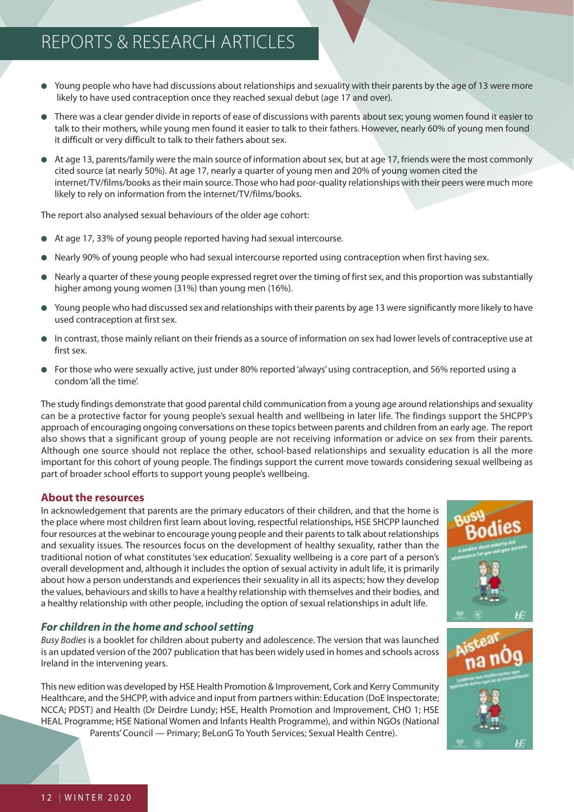- Young people who have had discussions about relationships and sexuality with their parents by the age of 13 were more likely to have used contraception once they reached sexual debut (age 17 and over).
- There was a clear gender divide in reports of ease of discussions with parents about sex; young women found it easier to talk to their mothers, while young men found it easier to talk to their fathers. However, nearly 60% of young men found it difficult or very difficult to talk to their fathers about sex.
- At age 13, parents/family were the main source of information about sex, but at age 17, friends were the most commonly cited source (at nearly 50%). At age 17, nearly a quarter of young men and 20% of young women cited the internet/TV/films/books as their main source. Those who had poor-quality relationships with their peers were much more likely to rely on information from the internet/TV/films/books.

The report also analysed sexual behaviours of the older age cohort:

- At age 17, 33% of young people reported having had sexual intercourse.
- Nearly 90% of young people who had sexual intercourse reported using contraception when first having sex.
- Nearly a quarter of these young people expressed regret over the timing of first sex, and this proportion was substantially higher among young women (31%) than young men (16%).
- Young people who had discussed sex and relationships with their parents by age 13 were significantly more likely to have used contraception at first sex.
- In contrast, those mainly reliant on their friends as a source of information on sex had lower levels of contraceptive use at first sex.
- For those who were sexually active, just under 80% reported 'always' using contraception, and 56% reported using a condom 'all the time'.

The study findings demonstrate that good parental child communication from a young age around relationships and sexuality can be a protective factor for young people's sexual health and wellbeing in later life. The findings support the SHCPP's approach of encouraging ongoing conversations on these topics between parents and children from an early age. The report also shows that a significant group of young people are not receiving information or advice on sex from their parents. Although one source should not replace the other, school-based relationships and sexuality education is all the more important for this cohort of young people. The findings support the current move towards considering sexual wellbeing as part of broader school efforts to support young people's wellbeing.

#### **About the resources**

In acknowledgement that parents are the primary educators of their children, and that the home is the place where most children first learn about loving, respectful relationships, HSE SHCPP launched four resources at the webinar to encourage young people and their parents to talk about relationships and sexuality issues. The resources focus on the development of healthy sexuality, rather than the traditional notion of what constitutes 'sex education'. Sexuality wellbeing is a core part of a person's overall development and, although it includes the option of sexual activity in adult life, it is primarily about how a person understands and experiences their sexuality in all its aspects; how they develop the values, behaviours and skills to have a healthy relationship with themselves and their bodies, and a healthy relationship with other people, including the option of sexual relationships in adult life.



## *For children in the home and school setting*

Busy Bodies is a booklet for children about puberty and adolescence. The version that was launched is an updated version of the 2007 publication that has been widely used in homes and schools across Ireland in the intervening years.

This new edition was developed by HSE Health Promotion & Improvement, Cork and Kerry Community Healthcare, and the SHCPP, with advice and input from partners within: Education (DoE Inspectorate; NCCA; PDST) and Health (Dr Deirdre Lundy; HSE, Health Promotion and Improvement, CHO 1; HSE HEAL Programme; HSE National Women and Infants Health Programme), and within NGOs (National Parents' Council — Primary; BeLonG To Youth Services; Sexual Health Centre).

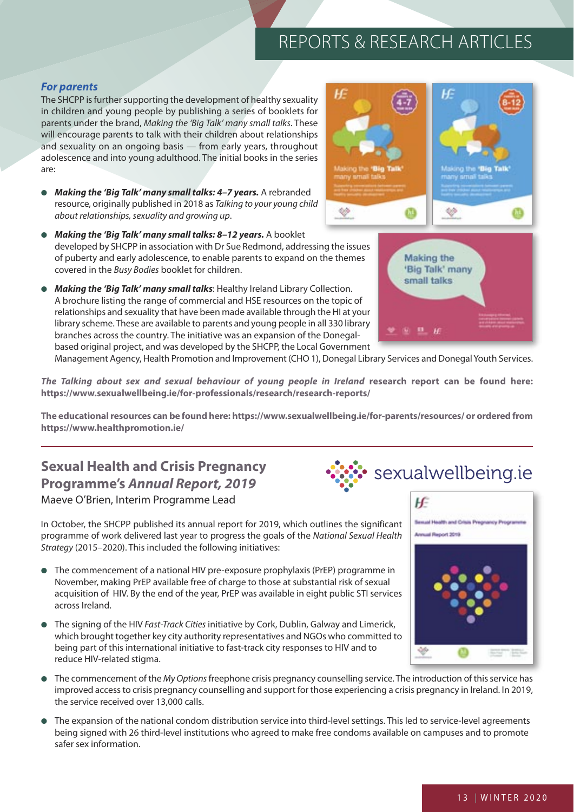## *For parents*

The SHCPP is further supporting the development of healthy sexuality in children and young people by publishing a series of booklets for parents under the brand, Making the 'Big Talk' many small talks. These will encourage parents to talk with their children about relationships and sexuality on an ongoing basis — from early years, throughout adolescence and into young adulthood. The initial books in the series are:

- *Making the 'Big Talk' many small talks: 4–7 years.* A rebranded resource, originally published in 2018 as Talking to your young child about relationships, sexuality and growing up.
- *Making the 'Big Talk' many small talks: 8–12 years.* A booklet developed by SHCPP in association with Dr Sue Redmond, addressing the issues of puberty and early adolescence, to enable parents to expand on the themes covered in the Busy Bodies booklet for children.
- *Making the 'Big Talk' many small talks*: Healthy Ireland Library Collection. A brochure listing the range of commercial and HSE resources on the topic of relationships and sexuality that have been made available through the HI at your library scheme. These are available to parents and young people in all 330 library branches across the country. The initiative was an expansion of the Donegalbased original project, and was developed by the SHCPP, the Local Government

Management Agency, Health Promotion and Improvement (CHO 1), Donegal Library Services and Donegal Youth Services.

*The Talking about sex and sexual behaviour of young people in Ireland* **research report can be found here: <https://www.sexualwellbeing.ie/for-professionals/research/research-reports/>**

**The educational resources can be found here:<https://www.sexualwellbeing.ie/for-parents/resources/>or ordered from <https://www.healthpromotion.ie/>**

## **Sexual Health and Crisis Pregnancy Programme's** *Annual Report, 2019* Maeve O'Brien, Interim Programme Lead

In October, the SHCPP published its annual report for 2019, which outlines the significant programme of work delivered last year to progress the goals of the National Sexual Health Strategy (2015–2020). This included the following initiatives:

- The commencement of a national HIV pre-exposure prophylaxis (PrEP) programme in November, making PrEP available free of charge to those at substantial risk of sexual acquisition of HIV. By the end of the year, PrEP was available in eight public STI services across Ireland.
- The signing of the HIV Fast-Track Cities initiative by Cork, Dublin, Galway and Limerick, which brought together key city authority representatives and NGOs who committed to being part of this international initiative to fast-track city responses to HIV and to reduce HIV-related stigma.
- The commencement of the My Options freephone crisis pregnancy counselling service. The introduction of this service has improved access to crisis pregnancy counselling and support for those experiencing a crisis pregnancy in Ireland. In 2019, the service received over 13,000 calls.
- The expansion of the national condom distribution service into third-level settings. This led to service-level agreements being signed with 26 third-level institutions who agreed to make free condoms available on campuses and to promote safer sex information.





sexualwellbeing.ie

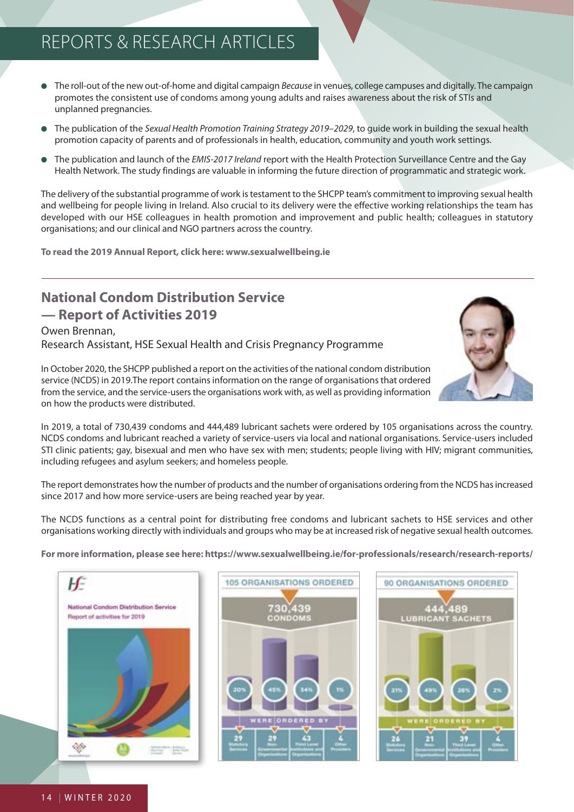- The roll-out of the new out-of-home and digital campaign Because in venues, college campuses and digitally. The campaign promotes the consistent use of condoms among young adults and raises awareness about the risk of STIs and unplanned pregnancies.
- The publication of the Sexual Health Promotion Training Strategy 2019–2029, to quide work in building the sexual health promotion capacity of parents and of professionals in health, education, community and youth work settings.
- The publication and launch of the *EMIS-2017 Ireland* report with the Health Protection Surveillance Centre and the Gay Health Network. The study findings are valuable in informing the future direction of programmatic and strategic work.

The delivery of the substantial programme of work is testament to the SHCPP team's commitment to improving sexual health and wellbeing for people living in Ireland. Also crucial to its delivery were the effective working relationships the team has developed with our HSE colleagues in health promotion and improvement and public health; colleagues in statutory organisations; and our clinical and NGO partners across the country.

**To read the 2019 Annual Report, click here:<www.sexualwellbeing.ie>**

## **National Condom Distribution Service — Report of Activities 2019**

## Owen Brennan, Research Assistant, HSE Sexual Health and Crisis Pregnancy Programme



In October 2020, the SHCPP published a report on the activities of the national condom distribution service (NCDS) in 2019.The report contains information on the range of organisations that ordered from the service, and the service-users the organisations work with, as well as providing information on how the products were distributed.

In 2019, a total of 730,439 condoms and 444,489 lubricant sachets were ordered by 105 organisations across the country. NCDS condoms and lubricant reached a variety of service-users via local and national organisations. Service-users included STI clinic patients; gay, bisexual and men who have sex with men; students; people living with HIV; migrant communities, including refugees and asylum seekers; and homeless people.

The report demonstrates how the number of products and the number of organisations ordering from the NCDS has increased since 2017 and how more service-users are being reached year by year.

The NCDS functions as a central point for distributing free condoms and lubricant sachets to HSE services and other organisations working directly with individuals and groups who may be at increased risk of negative sexual health outcomes.

**For more information, please see here:<https://www.sexualwellbeing.ie/for-professionals/research/research-reports/>**

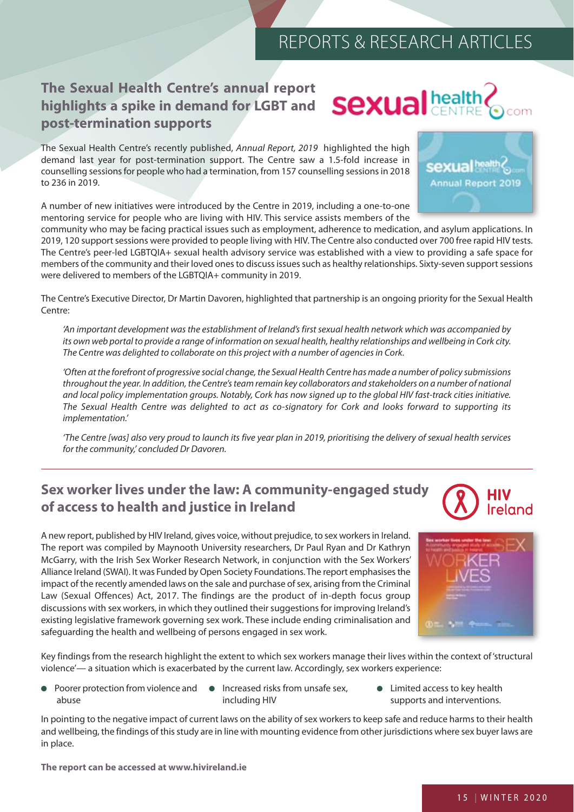## **The Sexual Health Centre's annual report highlights a spike in demand for LGBT and Sexual head post-termination supports**

The Sexual Health Centre's recently published, Annual Report, 2019 highlighted the high demand last year for post-termination support. The Centre saw a 1.5-fold increase in counselling sessions for people who had a termination, from 157 counselling sessions in 2018 to 236 in 2019.

A number of new initiatives were introduced by the Centre in 2019, including a one-to-one mentoring service for people who are living with HIV. This service assists members of the

community who may be facing practical issues such as employment, adherence to medication, and asylum applications. In 2019, 120 support sessions were provided to people living with HIV. The Centre also conducted over 700 free rapid HIV tests. The Centre's peer-led LGBTQIA+ sexual health advisory service was established with a view to providing a safe space for members of the community and their loved ones to discuss issues such as healthy relationships. Sixty-seven support sessions were delivered to members of the LGBTQIA+ community in 2019.

The Centre's Executive Director, Dr Martin Davoren, highlighted that partnership is an ongoing priority for the Sexual Health Centre:

'An important development was the establishment of Ireland's first sexual health network which was accompanied by its own web portal to provide a range of information on sexual health, healthy relationships and wellbeing in Cork city. The Centre was delighted to collaborate on this project with a number of agencies in Cork.

'Often at the forefront of progressive social change, the Sexual Health Centre has made a number of policy submissions throughout the year. In addition, the Centre's team remain key collaborators and stakeholders on a number of national and local policy implementation groups. Notably, Cork has now signed up to the global HIV fast-track cities initiative. The Sexual Health Centre was delighted to act as co-signatory for Cork and looks forward to supporting its implementation.'

'The Centre [was] also very proud to launch its five year plan in 2019, prioritising the delivery of sexual health services for the community,' concluded Dr Davoren.

## **Sex worker lives under the law: A community-engaged study of access to health and justice in Ireland**

A new report, published by HIV Ireland, gives voice, without prejudice, to sex workers in Ireland. The report was compiled by Maynooth University researchers, Dr Paul Ryan and Dr Kathryn McGarry, with the Irish Sex Worker Research Network, in conjunction with the Sex Workers' Alliance Ireland (SWAI). It was Funded by Open Society Foundations. The report emphasises the impact of the recently amended laws on the sale and purchase of sex, arising from the Criminal Law (Sexual Offences) Act, 2017. The findings are the product of in-depth focus group discussions with sex workers, in which they outlined their suggestions for improving Ireland's existing legislative framework governing sex work. These include ending criminalisation and safeguarding the health and wellbeing of persons engaged in sex work.

Key findings from the research highlight the extent to which sex workers manage their lives within the context of 'structural violence'— a situation which is exacerbated by the current law. Accordingly, sex workers experience:

- Poorer protection from violence and Increased risks from unsafe sex, abuse including HIV
- Limited access to key health supports and interventions.

In pointing to the negative impact of current laws on the ability of sex workers to keep safe and reduce harms to their health and wellbeing, the findings of this study are in line with mounting evidence from other jurisdictions where sex buyer laws are in place.

**The report can be accessed at<www.hivireland.ie>**





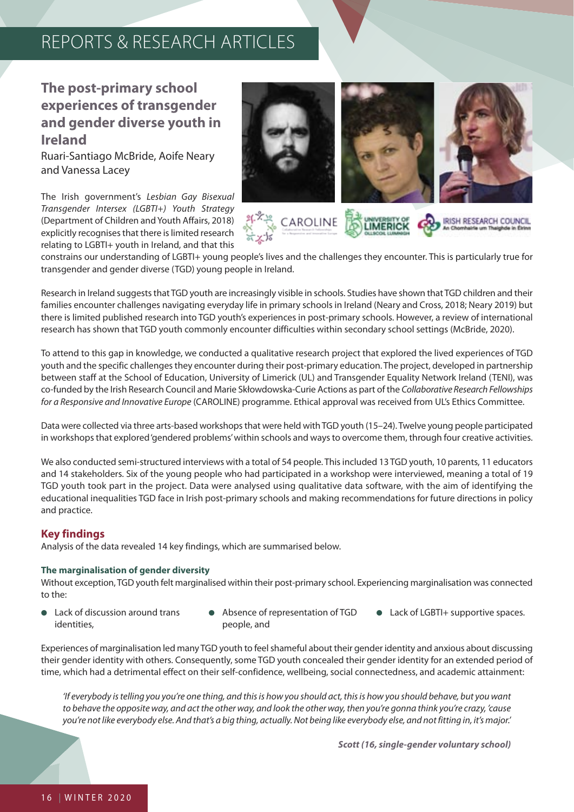## **The post-primary school experiences of transgender and gender diverse youth in Ireland**

Ruari-Santiago McBride, Aoife Neary and Vanessa Lacey

The Irish government's Lesbian Gay Bisexual Transgender Intersex (LGBTI+) Youth Strategy (Department of Children and Youth Affairs, 2018) explicitly recognises that there is limited research relating to LGBTI+ youth in Ireland, and that this



constrains our understanding of LGBTI+ young people's lives and the challenges they encounter. This is particularly true for transgender and gender diverse (TGD) young people in Ireland.

Research in Ireland suggests that TGD youth are increasingly visible in schools. Studies have shown that TGD children and their families encounter challenges navigating everyday life in primary schools in Ireland (Neary and Cross, 2018; Neary 2019) but there is limited published research into TGD youth's experiences in post-primary schools. However, a review of international research has shown that TGD youth commonly encounter difficulties within secondary school settings (McBride, 2020).

To attend to this gap in knowledge, we conducted a qualitative research project that explored the lived experiences of TGD youth and the specific challenges they encounter during their post-primary education. The project, developed in partnership between staff at the School of Education, University of Limerick (UL) and Transgender Equality Network Ireland (TENI), was co-funded by the Irish Research Council and Marie Skłowdowska-Curie Actions as part of the Collaborative Research Fellowships for a Responsive and Innovative Europe (CAROLINE) programme. Ethical approval was received from UL's Ethics Committee.

Data were collected via three arts-based workshops that were held with TGD youth (15–24). Twelve young people participated in workshops that explored 'gendered problems' within schools and ways to overcome them, through four creative activities.

We also conducted semi-structured interviews with a total of 54 people. This included 13 TGD youth, 10 parents, 11 educators and 14 stakeholders. Six of the young people who had participated in a workshop were interviewed, meaning a total of 19 TGD youth took part in the project. Data were analysed using qualitative data software, with the aim of identifying the educational inequalities TGD face in Irish post-primary schools and making recommendations for future directions in policy and practice.

## **Key findings**

Analysis of the data revealed 14 key findings, which are summarised below.

#### **The marginalisation of gender diversity**

Without exception, TGD youth felt marginalised within their post-primary school. Experiencing marginalisation was connected to the:

- Lack of discussion around trans identities,
- Absence of representation of TGD people, and
- Lack of LGBTI+ supportive spaces.

Experiences of marginalisation led many TGD youth to feel shameful about their gender identity and anxious about discussing their gender identity with others. Consequently, some TGD youth concealed their gender identity for an extended period of time, which had a detrimental effect on their self-confidence, wellbeing, social connectedness, and academic attainment:

'If everybody is telling you you're one thing, and this is how you should act, this is how you should behave, but you want to behave the opposite way, and act the other way, and look the other way, then you're gonna think you're crazy, 'cause you're not like everybody else. And that's a big thing, actually. Not being like everybody else, and not fitting in, it's major.'

*Scott (16, single-gender voluntary school)*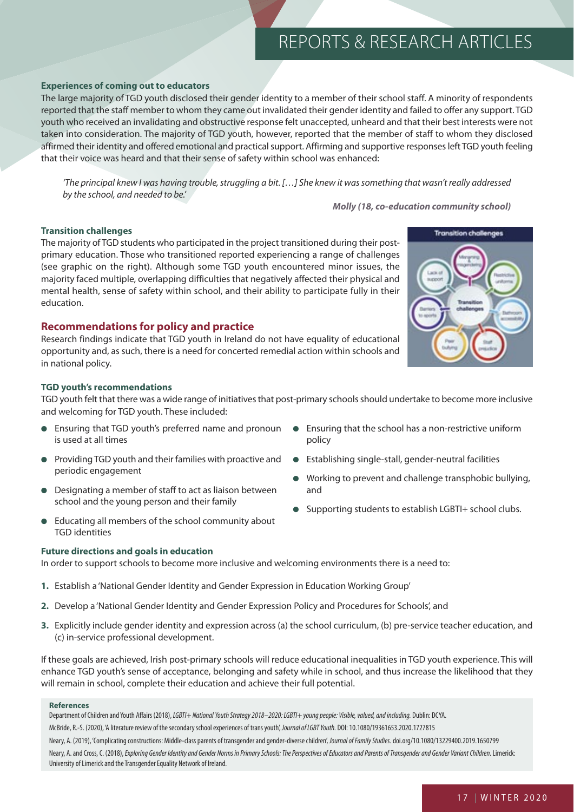#### **Experiences of coming out to educators**

The large majority of TGD youth disclosed their gender identity to a member of their school staff. A minority of respondents reported that the staff member to whom they came out invalidated their gender identity and failed to offer any support. TGD youth who received an invalidating and obstructive response felt unaccepted, unheard and that their best interests were not taken into consideration. The majority of TGD youth, however, reported that the member of staff to whom they disclosed affirmed their identity and offered emotional and practical support. Affirming and supportive responses left TGD youth feeling that their voice was heard and that their sense of safety within school was enhanced:

'The principal knew I was having trouble, struggling a bit. […] She knew it was something that wasn't really addressed by the school, and needed to be.'

*Molly (18, co-education community school)*

● Establishing single-stall, gender-neutral facilities

Working to prevent and challenge transphobic bullying,

● Supporting students to establish LGBTI+ school clubs.

#### **Transition challenges**

The majority of TGD students who participated in the project transitioned during their postprimary education. Those who transitioned reported experiencing a range of challenges (see graphic on the right). Although some TGD youth encountered minor issues, the majority faced multiple, overlapping difficulties that negatively affected their physical and mental health, sense of safety within school, and their ability to participate fully in their education.

#### **Recommendations for policy and practice**

Research findings indicate that TGD youth in Ireland do not have equality of educational opportunity and, as such, there is a need for concerted remedial action within schools and in national policy.

#### **TGD youth's recommendations**

TGD youth felt that there was a wide range of initiatives that post-primary schools should undertake to become more inclusive and welcoming for TGD youth. These included:

policy

and

- Ensuring that TGD youth's preferred name and pronoun Ensuring that the school has a non-restrictive uniform is used at all times
- Providing TGD youth and their families with proactive and periodic engagement
- Designating a member of staff to act as liaison between school and the young person and their family
- Educating all members of the school community about TGD identities

#### **Future directions and goals in education**

In order to support schools to become more inclusive and welcoming environments there is a need to:

- **1.** Establish a 'National Gender Identity and Gender Expression in Education Working Group'
- **2.** Develop a 'National Gender Identity and Gender Expression Policy and Procedures for Schools', and
- **3.** Explicitly include gender identity and expression across (a) the school curriculum, (b) pre-service teacher education, and (c) in-service professional development.

If these goals are achieved, Irish post-primary schools will reduce educational inequalities in TGD youth experience. This will enhance TGD youth's sense of acceptance, belonging and safety while in school, and thus increase the likelihood that they will remain in school, complete their education and achieve their full potential.

#### **References**

Department of Children and Youth Affairs (2018), LGBTI+ National Youth Strategy 2018-2020: LGBTI+ young people: Visible, valued, and including. Dublin: DCYA.

McBride, R.-S. (2020), 'A literature review of the secondary school experiences of trans youth', Journal of LGBT Youth. DOI: 10.1080/19361653.2020.1727815

Neary, A. (2019), 'Complicating constructions: Middle-class parents of transgender and gender-diverse children', Journal of Family Studies. doi.org/10.1080/13229400.2019.1650799

Neary, A. and Cross, C. (2018), Exploring Gender Identity and Gender Norms in Primary Schools: The Perspectives of Educators and Parents of Transgender and Gender Variant Children. Limerick: University of Limerick and the Transgender Equality Network of Ireland.

**Transition challenges**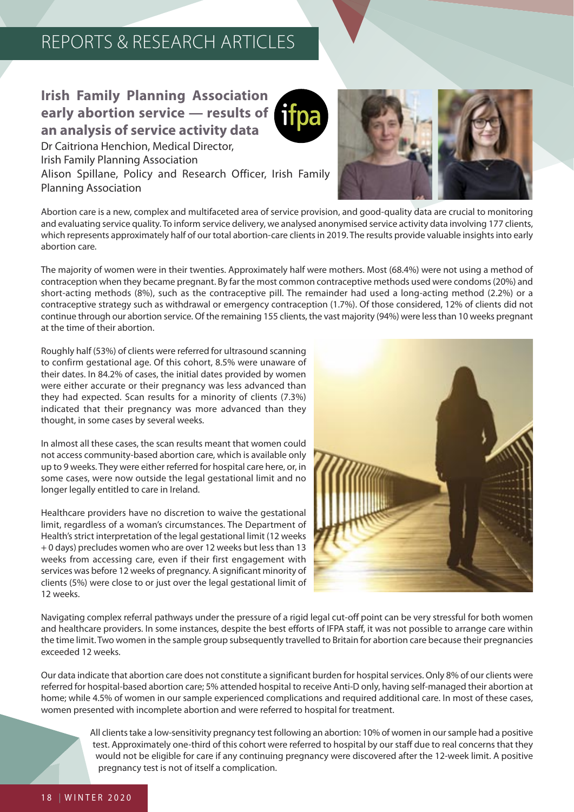## **Irish Family Planning Association early abortion service — results of an analysis of service activity data**



Dr Caitriona Henchion, Medical Director, Irish Family Planning Association Alison Spillane, Policy and Research Officer, Irish Family Planning Association



Abortion care is a new, complex and multifaceted area of service provision, and good-quality data are crucial to monitoring and evaluating service quality. To inform service delivery, we analysed anonymised service activity data involving 177 clients, which represents approximately half of our total abortion-care clients in 2019. The results provide valuable insights into early abortion care.

The majority of women were in their twenties. Approximately half were mothers. Most (68.4%) were not using a method of contraception when they became pregnant. By far the most common contraceptive methods used were condoms (20%) and short-acting methods (8%), such as the contraceptive pill. The remainder had used a long-acting method (2.2%) or a contraceptive strategy such as withdrawal or emergency contraception (1.7%). Of those considered, 12% of clients did not continue through our abortion service. Of the remaining 155 clients, the vast majority (94%) were less than 10 weeks pregnant at the time of their abortion.

Roughly half (53%) of clients were referred for ultrasound scanning to confirm gestational age. Of this cohort, 8.5% were unaware of their dates. In 84.2% of cases, the initial dates provided by women were either accurate or their pregnancy was less advanced than they had expected. Scan results for a minority of clients (7.3%) indicated that their pregnancy was more advanced than they thought, in some cases by several weeks.

In almost all these cases, the scan results meant that women could not access community-based abortion care, which is available only up to 9 weeks. They were either referred for hospital care here, or, in some cases, were now outside the legal gestational limit and no longer legally entitled to care in Ireland.

Healthcare providers have no discretion to waive the gestational limit, regardless of a woman's circumstances. The Department of Health's strict interpretation of the legal gestational limit (12 weeks + 0 days) precludes women who are over 12 weeks but less than 13 weeks from accessing care, even if their first engagement with services was before 12 weeks of pregnancy. A significant minority of clients (5%) were close to or just over the legal gestational limit of 12 weeks.



Navigating complex referral pathways under the pressure of a rigid legal cut-off point can be very stressful for both women and healthcare providers. In some instances, despite the best efforts of IFPA staff, it was not possible to arrange care within the time limit. Two women in the sample group subsequently travelled to Britain for abortion care because their pregnancies exceeded 12 weeks.

Our data indicate that abortion care does not constitute a significant burden for hospital services. Only 8% of our clients were referred for hospital-based abortion care; 5% attended hospital to receive Anti-D only, having self-managed their abortion at home; while 4.5% of women in our sample experienced complications and required additional care. In most of these cases, women presented with incomplete abortion and were referred to hospital for treatment.

> All clients take a low-sensitivity pregnancy test following an abortion: 10% of women in our sample had a positive test. Approximately one-third of this cohort were referred to hospital by our staff due to real concerns that they would not be eligible for care if any continuing pregnancy were discovered after the 12-week limit. A positive pregnancy test is not of itself a complication.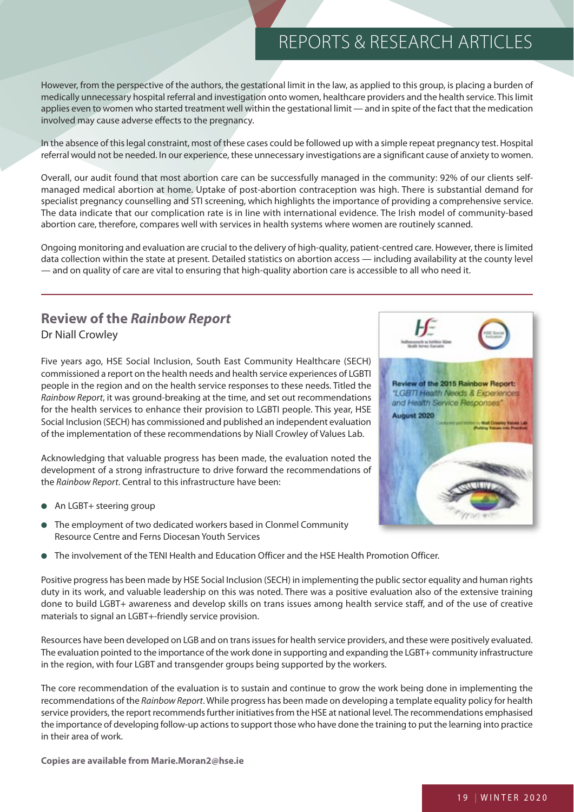However, from the perspective of the authors, the gestational limit in the law, as applied to this group, is placing a burden of medically unnecessary hospital referral and investigation onto women, healthcare providers and the health service. This limit applies even to women who started treatment well within the gestational limit — and in spite of the fact that the medication involved may cause adverse effects to the pregnancy.

In the absence of this legal constraint, most of these cases could be followed up with a simple repeat pregnancy test. Hospital referral would not be needed. In our experience, these unnecessary investigations are a significant cause of anxiety to women.

Overall, our audit found that most abortion care can be successfully managed in the community: 92% of our clients selfmanaged medical abortion at home. Uptake of post-abortion contraception was high. There is substantial demand for specialist pregnancy counselling and STI screening, which highlights the importance of providing a comprehensive service. The data indicate that our complication rate is in line with international evidence. The Irish model of community-based abortion care, therefore, compares well with services in health systems where women are routinely scanned.

Ongoing monitoring and evaluation are crucial to the delivery of high-quality, patient-centred care. However, there is limited data collection within the state at present. Detailed statistics on abortion access — including availability at the county level — and on quality of care are vital to ensuring that high-quality abortion care is accessible to all who need it.

## **Review of the** *Rainbow Report*  Dr Niall Crowley

Five years ago, HSE Social Inclusion, South East Community Healthcare (SECH) commissioned a report on the health needs and health service experiences of LGBTI people in the region and on the health service responses to these needs. Titled the Rainbow Report, it was ground-breaking at the time, and set out recommendations for the health services to enhance their provision to LGBTI people. This year, HSE Social Inclusion (SECH) has commissioned and published an independent evaluation of the implementation of these recommendations by Niall Crowley of Values Lab.

Acknowledging that valuable progress has been made, the evaluation noted the development of a strong infrastructure to drive forward the recommendations of the Rainbow Report. Central to this infrastructure have been:

- An LGBT+ steering group
- The employment of two dedicated workers based in Clonmel Community Resource Centre and Ferns Diocesan Youth Services
- The involvement of the TENI Health and Education Officer and the HSE Health Promotion Officer.

Positive progress has been made by HSE Social Inclusion (SECH) in implementing the public sector equality and human rights duty in its work, and valuable leadership on this was noted. There was a positive evaluation also of the extensive training done to build LGBT+ awareness and develop skills on trans issues among health service staff, and of the use of creative materials to signal an LGBT+-friendly service provision.

Resources have been developed on LGB and on trans issues for health service providers, and these were positively evaluated. The evaluation pointed to the importance of the work done in supporting and expanding the LGBT+ community infrastructure in the region, with four LGBT and transgender groups being supported by the workers.

The core recommendation of the evaluation is to sustain and continue to grow the work being done in implementing the recommendations of the Rainbow Report. While progress has been made on developing a template equality policy for health service providers, the report recommends further initiatives from the HSE at national level. The recommendations emphasised the importance of developing follow-up actions to support those who have done the training to put the learning into practice in their area of work.

**Copies are available from Marie.Moran2@hse.ie**

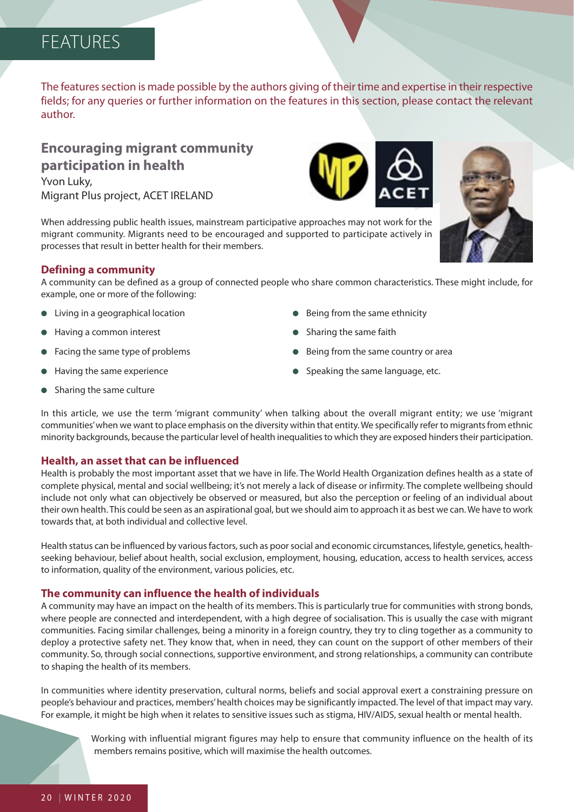# FEATURES

The features section is made possible by the authors giving of their time and expertise in their respective fields; for any queries or further information on the features in this section, please contact the relevant author.

## **Encouraging migrant community participation in health**

Yvon Luky, Migrant Plus project, ACET IRELAND

When addressing public health issues, mainstream participative approaches may not work for the migrant community. Migrants need to be encouraged and supported to participate actively in processes that result in better health for their members.

## **Defining a community**

A community can be defined as a group of connected people who share common characteristics. These might include, for example, one or more of the following:

- Living in a geographical location
- Having a common interest
- Facing the same type of problems
- Having the same experience
- Sharing the same culture
- Being from the same ethnicity
- Sharing the same faith
- Being from the same country or area
- Speaking the same language, etc.

In this article, we use the term 'migrant community' when talking about the overall migrant entity; we use 'migrant communities' when we want to place emphasis on the diversity within that entity. We specifically refer to migrants from ethnic minority backgrounds, because the particular level of health inequalities to which they are exposed hinders their participation.

## **Health, an asset that can be influenced**

Health is probably the most important asset that we have in life. The World Health Organization defines health as a state of complete physical, mental and social wellbeing; it's not merely a lack of disease or infirmity. The complete wellbeing should include not only what can objectively be observed or measured, but also the perception or feeling of an individual about their own health. This could be seen as an aspirational goal, but we should aim to approach it as best we can. We have to work towards that, at both individual and collective level.

Health status can be influenced by various factors, such as poor social and economic circumstances, lifestyle, genetics, healthseeking behaviour, belief about health, social exclusion, employment, housing, education, access to health services, access to information, quality of the environment, various policies, etc.

## **The community can influence the health of individuals**

A community may have an impact on the health of its members. This is particularly true for communities with strong bonds, where people are connected and interdependent, with a high degree of socialisation. This is usually the case with migrant communities. Facing similar challenges, being a minority in a foreign country, they try to cling together as a community to deploy a protective safety net. They know that, when in need, they can count on the support of other members of their community. So, through social connections, supportive environment, and strong relationships, a community can contribute to shaping the health of its members.

In communities where identity preservation, cultural norms, beliefs and social approval exert a constraining pressure on people's behaviour and practices, members' health choices may be significantly impacted. The level of that impact may vary. For example, it might be high when it relates to sensitive issues such as stigma, HIV/AIDS, sexual health or mental health.

> Working with influential migrant figures may help to ensure that community influence on the health of its members remains positive, which will maximise the health outcomes.





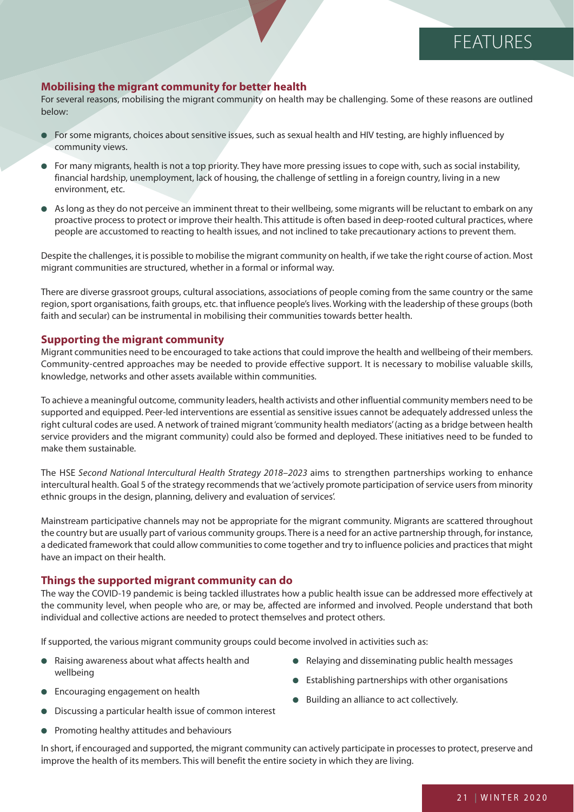# **FEATURES**

### **Mobilising the migrant community for better health**

For several reasons, mobilising the migrant community on health may be challenging. Some of these reasons are outlined below:

- For some migrants, choices about sensitive issues, such as sexual health and HIV testing, are highly influenced by community views.
- For many migrants, health is not a top priority. They have more pressing issues to cope with, such as social instability, financial hardship, unemployment, lack of housing, the challenge of settling in a foreign country, living in a new environment, etc.
- As long as they do not perceive an imminent threat to their wellbeing, some migrants will be reluctant to embark on any proactive process to protect or improve their health. This attitude is often based in deep-rooted cultural practices, where people are accustomed to reacting to health issues, and not inclined to take precautionary actions to prevent them.

Despite the challenges, it is possible to mobilise the migrant community on health, if we take the right course of action. Most migrant communities are structured, whether in a formal or informal way.

There are diverse grassroot groups, cultural associations, associations of people coming from the same country or the same region, sport organisations, faith groups, etc. that influence people's lives. Working with the leadership of these groups (both faith and secular) can be instrumental in mobilising their communities towards better health.

#### **Supporting the migrant community**

Migrant communities need to be encouraged to take actions that could improve the health and wellbeing of their members. Community-centred approaches may be needed to provide effective support. It is necessary to mobilise valuable skills, knowledge, networks and other assets available within communities.

To achieve a meaningful outcome, community leaders, health activists and other influential community members need to be supported and equipped. Peer-led interventions are essential as sensitive issues cannot be adequately addressed unless the right cultural codes are used. A network of trained migrant 'community health mediators' (acting as a bridge between health service providers and the migrant community) could also be formed and deployed. These initiatives need to be funded to make them sustainable.

The HSE Second National Intercultural Health Strategy 2018–2023 aims to strengthen partnerships working to enhance intercultural health. Goal 5 of the strategy recommends that we 'actively promote participation of service users from minority ethnic groups in the design, planning, delivery and evaluation of services'.

Mainstream participative channels may not be appropriate for the migrant community. Migrants are scattered throughout the country but are usually part of various community groups. There is a need for an active partnership through, for instance, a dedicated framework that could allow communities to come together and try to influence policies and practices that might have an impact on their health.

#### **Things the supported migrant community can do**

The way the COVID-19 pandemic is being tackled illustrates how a public health issue can be addressed more effectively at the community level, when people who are, or may be, affected are informed and involved. People understand that both individual and collective actions are needed to protect themselves and protect others.

If supported, the various migrant community groups could become involved in activities such as:

- Raising awareness about what affects health and wellbeing
- Encouraging engagement on health
- Discussing a particular health issue of common interest
- Promoting healthy attitudes and behaviours
- Relaving and disseminating public health messages
- Establishing partnerships with other organisations
- Building an alliance to act collectively.

In short, if encouraged and supported, the migrant community can actively participate in processes to protect, preserve and improve the health of its members. This will benefit the entire society in which they are living.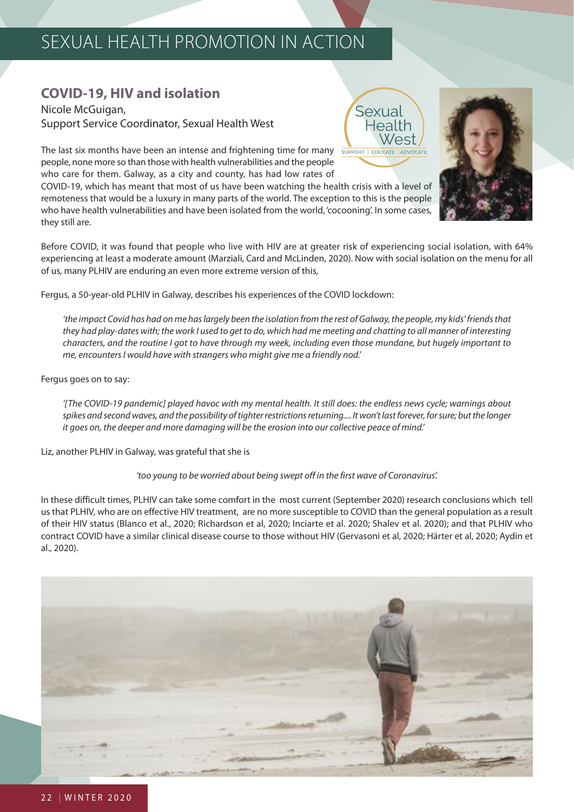## **COVID-19, HIV and isolation**

Nicole McGuigan, Support Service Coordinator, Sexual Health West

The last six months have been an intense and frightening time for many people, none more so than those with health vulnerabilities and the people who care for them. Galway, as a city and county, has had low rates of

COVID-19, which has meant that most of us have been watching the health crisis with a level of remoteness that would be a luxury in many parts of the world. The exception to this is the people who have health vulnerabilities and have been isolated from the world, 'cocooning'. In some cases, they still are.

Before COVID, it was found that people who live with HIV are at greater risk of experiencing social isolation, with 64% experiencing at least a moderate amount (Marziali, Card and McLinden, 2020). Now with social isolation on the menu for all of us, many PLHIV are enduring an even more extreme version of this,

Fergus, a 50-year-old PLHIV in Galway, describes his experiences of the COVID lockdown:

'the impact Covid has had on me has largely been the isolation from the rest of Galway, the people, my kids' friends that they had play-dates with; the work I used to get to do, which had me meeting and chatting to all manner of interesting characters, and the routine I got to have through my week, including even those mundane, but hugely important to me, encounters I would have with strangers who might give me a friendly nod.'

Fergus goes on to say:

'[The COVID-19 pandemic] played havoc with my mental health. It still does: the endless news cycle; warnings about spikes and second waves, and the possibility of tighter restrictions returning.... It won't last forever, for sure; but the longer it goes on, the deeper and more damaging will be the erosion into our collective peace of mind.'

Liz, another PLHIV in Galway, was grateful that she is

'too young to be worried about being swept off in the first wave of Coronavirus'.

In these difficult times, PLHIV can take some comfort in the most current (September 2020) research conclusions which tell us that PLHIV, who are on effective HIV treatment, are no more susceptible to COVID than the general population as a result of their HIV status (Blanco et al., 2020; Richardson et al, 2020; Inciarte et al. 2020; Shalev et al. 2020); and that PLHIV who contract COVID have a similar clinical disease course to those without HIV (Gervasoni et al, 2020; Härter et al, 2020; Aydin et al., 2020).





Sexual Health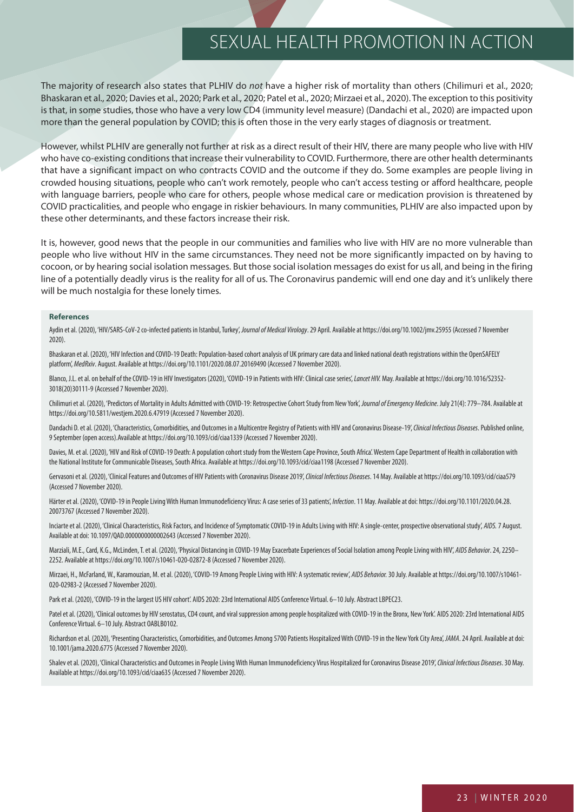The majority of research also states that PLHIV do not have a higher risk of mortality than others (Chilimuri et al., 2020; Bhaskaran et al., 2020; Davies et al., 2020; Park et al., 2020; Patel et al., 2020; Mirzaei et al., 2020). The exception to this positivity is that, in some studies, those who have a very low CD4 (immunity level measure) (Dandachi et al., 2020) are impacted upon more than the general population by COVID; this is often those in the very early stages of diagnosis or treatment.

However, whilst PLHIV are generally not further at risk as a direct result of their HIV, there are many people who live with HIV who have co-existing conditions that increase their vulnerability to COVID. Furthermore, there are other health determinants that have a significant impact on who contracts COVID and the outcome if they do. Some examples are people living in crowded housing situations, people who can't work remotely, people who can't access testing or afford healthcare, people with language barriers, people who care for others, people whose medical care or medication provision is threatened by COVID practicalities, and people who engage in riskier behaviours. In many communities, PLHIV are also impacted upon by these other determinants, and these factors increase their risk.

It is, however, good news that the people in our communities and families who live with HIV are no more vulnerable than people who live without HIV in the same circumstances. They need not be more significantly impacted on by having to cocoon, or by hearing social isolation messages. But those social isolation messages do exist for us all, and being in the firing line of a potentially deadly virus is the reality for all of us. The Coronavirus pandemic will end one day and it's unlikely there will be much nostalgia for these lonely times.

#### **References**

Aydin et al. (2020), 'HIV/SARS-CoV-2 co-infected patients in Istanbul, Turkey, Journal of Medical Virology. 29 April. Available at https://doi.org/10.1002/jmv.25955 (Accessed 7 November 2020).

Bhaskaran et al. (2020), 'HIV Infection and COVID-19 Death: Population-based cohort analysis of UK primary care data and linked national death registrations within the OpenSAFELY platform', MedRxiv. August. Available at https://doi.org/10.1101/2020.08.07.20169490 (Accessed 7 November 2020).

Blanco, J.L. et al. on behalf of the COVID-19 in HIV Investigators (2020), 'COVID-19 in Patients with HIV: Clinical case series', Lancet HIV. May. Available at https://doi.org/10.1016/S2352-3018(20)30111-9 (Accessed 7 November 2020).

Chilimuri et al. (2020), 'Predictors of Mortality in Adults Admitted with COVID-19: Retrospective Cohort Study from New York', Journal of Emergency Medicine. July 21(4): 779–784. Available at https://doi.org/10.5811/westjem.2020.6.47919 (Accessed 7 November 2020).

Dandachi D. et al. (2020), 'Characteristics, Comorbidities, and Outcomes in a Multicentre Registry of Patients with HIV and Coronavirus Disease-19', Clinical Infectious Diseases. Published online, 9 September (open access).Available at https://doi.org/10.1093/cid/ciaa1339 (Accessed 7 November 2020).

Davies, M. et al. (2020), 'HIV and Risk of COVID-19 Death: A population cohort study from the Western Cape Province, South Africa'. Western Cape Department of Health in collaboration with the National Institute for Communicable Diseases, South Africa. Available at https://doi.org/10.1093/cid/ciaa1198 (Accessed 7 November 2020).

Gervasoni et al. (2020), 'Clinical Features and Outcomes of HIV Patients with Coronavirus Disease 2019', Clinical Infectious Diseases. 14 May. Available at https://doi.org/10.1093/cid/ciaa579 (Accessed 7 November 2020).

Härter et al. (2020), 'COVID-19 in People Living With Human Immunodeficiency Virus: A case series of 33 patients', Infection. 11 May. Available at doi: https://doi.org/10.1101/2020.04.28. 20073767 (Accessed 7 November 2020).

Inciarte et al. (2020), 'Clinical Characteristics, Risk Factors, and Incidence of Symptomatic COVID-19 in Adults Living with HIV: A single-center, prospective observational study', AIDS. 7 August. Available at doi: 10.1097/QAD.0000000000002643 (Accessed 7 November 2020).

Marziali, M.E., Card, K.G., McLinden, T. et al. (2020), 'Physical Distancing in COVID-19 May Exacerbate Experiences of Social Isolation among People Living with HIV', AIDS Behavior. 24, 2250-2252. Available at https://doi.org/10.1007/s10461-020-02872-8 (Accessed 7 November 2020).

Mirzaei, H., McFarland, W., Karamouzian, M. et al. (2020), 'COVID-19 Among People Living with HIV: A systematic review', AIDS Behavior. 30 July. Available at https://doi.org/10.1007/s10461-020-02983-2 (Accessed 7 November 2020).

Park et al. (2020), 'COVID-19 in the largest US HIV cohort'. AIDS 2020: 23rd International AIDS Conference Virtual. 6-10 July. Abstract LBPEC23.

Patel et al. (2020), 'Clinical outcomes by HIV serostatus, CD4 count, and viral suppression among people hospitalized with COVID-19 in the Bronx, New York'. AIDS 2020: 23rd International AIDS Conference Virtual. 6–10 July. Abstract OABLB0102.

Richardson et al. (2020), 'Presenting Characteristics, Comorbidities, and Outcomes Among 5700 Patients Hospitalized With COVID-19 in the New York City Area', JAMA. 24 April. Available at doi: 10.1001/jama.2020.6775 (Accessed 7 November 2020).

Shalev et al. (2020), 'Clinical Characteristics and Outcomes in People Living With Human Immunodeficiency Virus Hospitalized for Coronavirus Disease 2019', Clinical Infectious Diseases. 30 May. Available at https://doi.org/10.1093/cid/ciaa635 (Accessed 7 November 2020).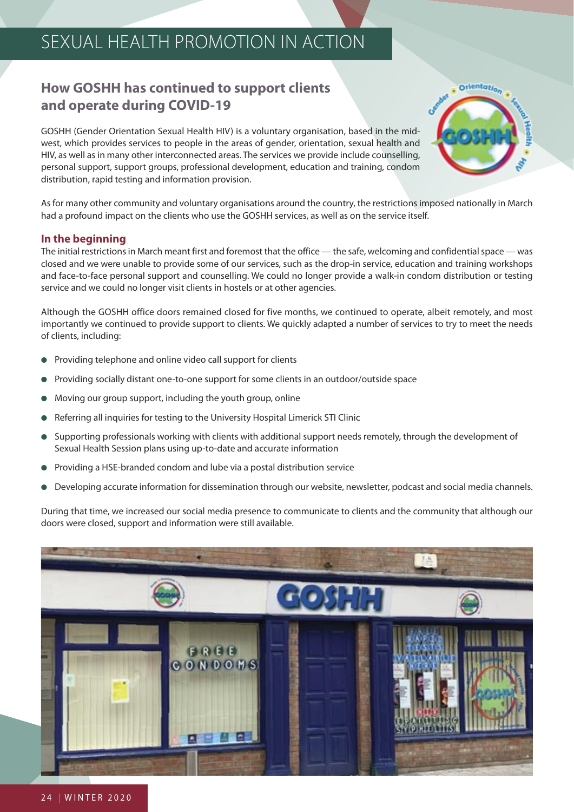## **How GOSHH has continued to support clients and operate during COVID-19**

GOSHH (Gender Orientation Sexual Health HIV) is a voluntary organisation, based in the midwest, which provides services to people in the areas of gender, orientation, sexual health and HIV, as well as in many other interconnected areas. The services we provide include counselling, personal support, support groups, professional development, education and training, condom distribution, rapid testing and information provision.



As for many other community and voluntary organisations around the country, the restrictions imposed nationally in March had a profound impact on the clients who use the GOSHH services, as well as on the service itself.

## **In the beginning**

The initial restrictions in March meant first and foremost that the office — the safe, welcoming and confidential space — was closed and we were unable to provide some of our services, such as the drop-in service, education and training workshops and face-to-face personal support and counselling. We could no longer provide a walk-in condom distribution or testing service and we could no longer visit clients in hostels or at other agencies.

Although the GOSHH office doors remained closed for five months, we continued to operate, albeit remotely, and most importantly we continued to provide support to clients. We quickly adapted a number of services to try to meet the needs of clients, including:

- Providing telephone and online video call support for clients
- Providing socially distant one-to-one support for some clients in an outdoor/outside space
- Moving our group support, including the youth group, online
- Referring all inquiries for testing to the University Hospital Limerick STI Clinic
- Supporting professionals working with clients with additional support needs remotely, through the development of Sexual Health Session plans using up-to-date and accurate information
- Providing a HSE-branded condom and lube via a postal distribution service
- Developing accurate information for dissemination through our website, newsletter, podcast and social media channels.

During that time, we increased our social media presence to communicate to clients and the community that although our doors were closed, support and information were still available.

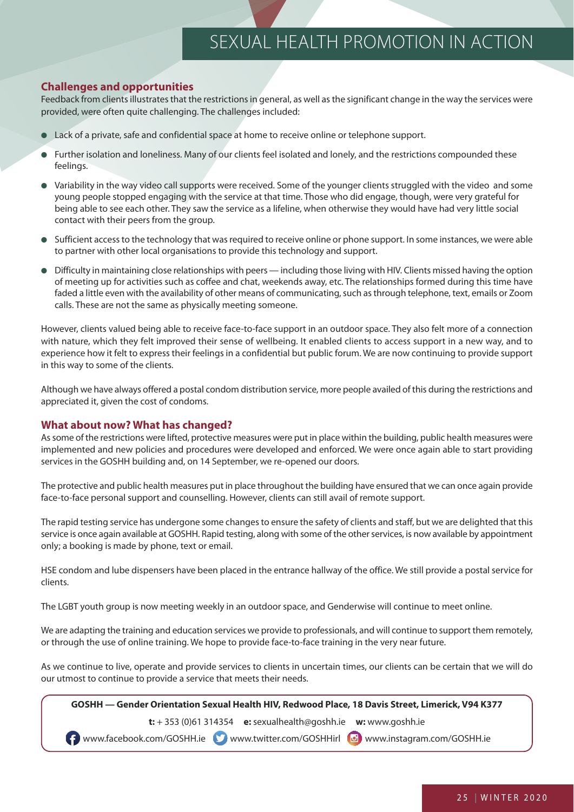## **Challenges and opportunities**

Feedback from clients illustrates that the restrictions in general, as well as the significant change in the way the services were provided, were often quite challenging. The challenges included:

- Lack of a private, safe and confidential space at home to receive online or telephone support.
- Further isolation and loneliness. Many of our clients feel isolated and lonely, and the restrictions compounded these feelings.
- Variability in the way video call supports were received. Some of the younger clients struggled with the video and some young people stopped engaging with the service at that time. Those who did engage, though, were very grateful for being able to see each other. They saw the service as a lifeline, when otherwise they would have had very little social contact with their peers from the group.
- Sufficient access to the technology that was required to receive online or phone support. In some instances, we were able to partner with other local organisations to provide this technology and support.
- Difficulty in maintaining close relationships with peers including those living with HIV. Clients missed having the option of meeting up for activities such as coffee and chat, weekends away, etc. The relationships formed during this time have faded a little even with the availability of other means of communicating, such as through telephone, text, emails or Zoom calls. These are not the same as physically meeting someone.

However, clients valued being able to receive face-to-face support in an outdoor space. They also felt more of a connection with nature, which they felt improved their sense of wellbeing. It enabled clients to access support in a new way, and to experience how it felt to express their feelings in a confidential but public forum. We are now continuing to provide support in this way to some of the clients.

Although we have always offered a postal condom distribution service, more people availed of this during the restrictions and appreciated it, given the cost of condoms.

#### **What about now? What has changed?**

As some of the restrictions were lifted, protective measures were put in place within the building, public health measures were implemented and new policies and procedures were developed and enforced. We were once again able to start providing services in the GOSHH building and, on 14 September, we re-opened our doors.

The protective and public health measures put in place throughout the building have ensured that we can once again provide face-to-face personal support and counselling. However, clients can still avail of remote support.

The rapid testing service has undergone some changes to ensure the safety of clients and staff, but we are delighted that this service is once again available at GOSHH. Rapid testing, along with some of the other services, is now available by appointment only; a booking is made by phone, text or email.

HSE condom and lube dispensers have been placed in the entrance hallway of the office. We still provide a postal service for clients.

The LGBT youth group is now meeting weekly in an outdoor space, and Genderwise will continue to meet online.

We are adapting the training and education services we provide to professionals, and will continue to support them remotely, or through the use of online training. We hope to provide face-to-face training in the very near future.

As we continue to live, operate and provide services to clients in uncertain times, our clients can be certain that we will do our utmost to continue to provide a service that meets their needs.

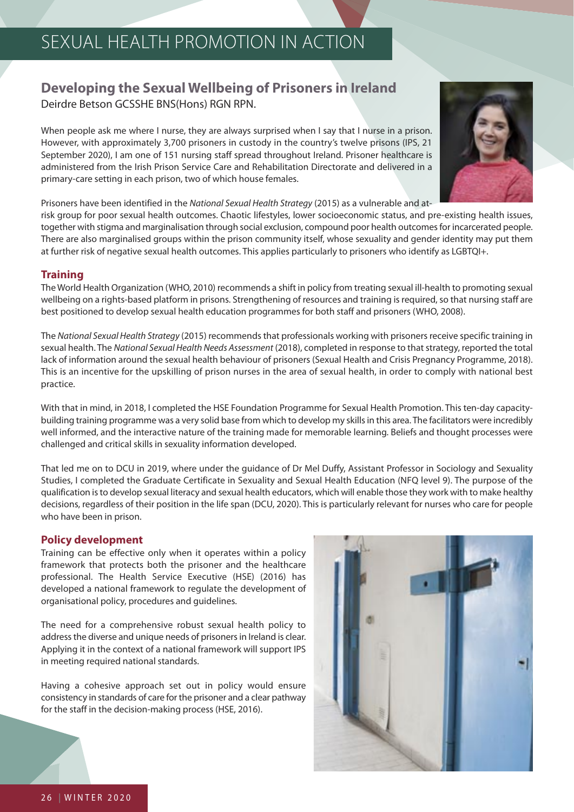## **Developing the Sexual Wellbeing of Prisoners in Ireland**  Deirdre Betson GCSSHE BNS(Hons) RGN RPN.

When people ask me where I nurse, they are always surprised when I say that I nurse in a prison. However, with approximately 3,700 prisoners in custody in the country's twelve prisons (IPS, 21 September 2020), I am one of 151 nursing staff spread throughout Ireland. Prisoner healthcare is administered from the Irish Prison Service Care and Rehabilitation Directorate and delivered in a primary-care setting in each prison, two of which house females.



Prisoners have been identified in the National Sexual Health Strategy (2015) as a vulnerable and at-

risk group for poor sexual health outcomes. Chaotic lifestyles, lower socioeconomic status, and pre-existing health issues, together with stigma and marginalisation through social exclusion, compound poor health outcomes for incarcerated people. There are also marginalised groups within the prison community itself, whose sexuality and gender identity may put them at further risk of negative sexual health outcomes. This applies particularly to prisoners who identify as LGBTQI+.

#### **Training**

The World Health Organization (WHO, 2010) recommends a shift in policy from treating sexual ill-health to promoting sexual wellbeing on a rights-based platform in prisons. Strengthening of resources and training is required, so that nursing staff are best positioned to develop sexual health education programmes for both staff and prisoners (WHO, 2008).

The National Sexual Health Strategy (2015) recommends that professionals working with prisoners receive specific training in sexual health. The National Sexual Health Needs Assessment (2018), completed in response to that strategy, reported the total lack of information around the sexual health behaviour of prisoners (Sexual Health and Crisis Pregnancy Programme, 2018). This is an incentive for the upskilling of prison nurses in the area of sexual health, in order to comply with national best practice.

With that in mind, in 2018, I completed the HSE Foundation Programme for Sexual Health Promotion. This ten-day capacitybuilding training programme was a very solid base from which to develop my skills in this area. The facilitators were incredibly well informed, and the interactive nature of the training made for memorable learning. Beliefs and thought processes were challenged and critical skills in sexuality information developed.

That led me on to DCU in 2019, where under the guidance of Dr Mel Duffy, Assistant Professor in Sociology and Sexuality Studies, I completed the Graduate Certificate in Sexuality and Sexual Health Education (NFQ level 9). The purpose of the qualification is to develop sexual literacy and sexual health educators, which will enable those they work with to make healthy decisions, regardless of their position in the life span (DCU, 2020). This is particularly relevant for nurses who care for people who have been in prison.

#### **Policy development**

Training can be effective only when it operates within a policy framework that protects both the prisoner and the healthcare professional. The Health Service Executive (HSE) (2016) has developed a national framework to regulate the development of organisational policy, procedures and guidelines.

The need for a comprehensive robust sexual health policy to address the diverse and unique needs of prisoners in Ireland is clear. Applying it in the context of a national framework will support IPS in meeting required national standards.

Having a cohesive approach set out in policy would ensure consistency in standards of care for the prisoner and a clear pathway for the staff in the decision-making process (HSE, 2016).

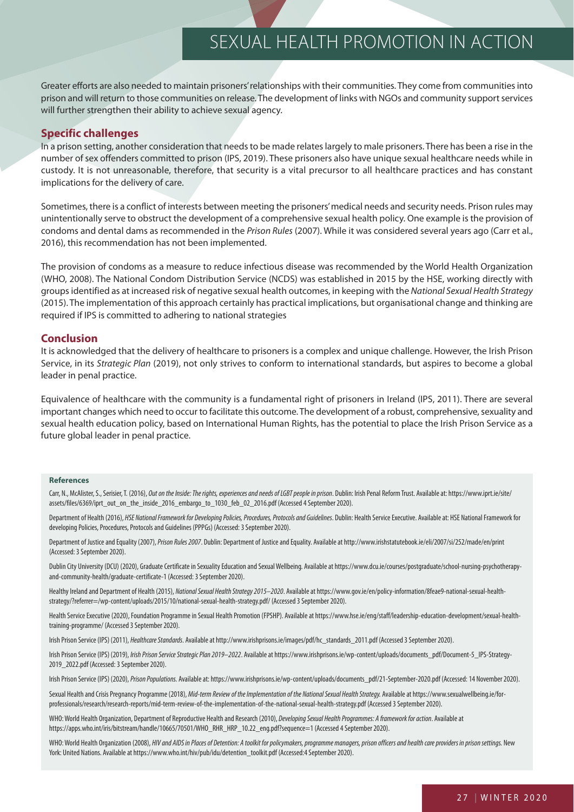Greater efforts are also needed to maintain prisoners' relationships with their communities. They come from communities into prison and will return to those communities on release. The development of links with NGOs and community support services will further strengthen their ability to achieve sexual agency.

#### **Specific challenges**

In a prison setting, another consideration that needs to be made relates largely to male prisoners. There has been a rise in the number of sex offenders committed to prison (IPS, 2019). These prisoners also have unique sexual healthcare needs while in custody. It is not unreasonable, therefore, that security is a vital precursor to all healthcare practices and has constant implications for the delivery of care.

Sometimes, there is a conflict of interests between meeting the prisoners' medical needs and security needs. Prison rules may unintentionally serve to obstruct the development of a comprehensive sexual health policy. One example is the provision of condoms and dental dams as recommended in the Prison Rules (2007). While it was considered several years ago (Carr et al., 2016), this recommendation has not been implemented.

The provision of condoms as a measure to reduce infectious disease was recommended by the World Health Organization (WHO, 2008). The National Condom Distribution Service (NCDS) was established in 2015 by the HSE, working directly with groups identified as at increased risk of negative sexual health outcomes, in keeping with the National Sexual Health Strategy (2015). The implementation of this approach certainly has practical implications, but organisational change and thinking are required if IPS is committed to adhering to national strategies

#### **Conclusion**

It is acknowledged that the delivery of healthcare to prisoners is a complex and unique challenge. However, the Irish Prison Service, in its Strategic Plan (2019), not only strives to conform to international standards, but aspires to become a global leader in penal practice.

Equivalence of healthcare with the community is a fundamental right of prisoners in Ireland (IPS, 2011). There are several important changes which need to occur to facilitate this outcome. The development of a robust, comprehensive, sexuality and sexual health education policy, based on International Human Rights, has the potential to place the Irish Prison Service as a future global leader in penal practice.

#### **References**

Carr, N., McAlister, S., Serisier, T. (2016), Out on the Inside: The rights, experiences and needs of LGBT people in prison. Dublin: Irish Penal Reform Trust. Available at: https://www.iprt.ie/site/ assets/files/6369/iprt\_out\_on\_the\_inside\_2016\_embargo\_to\_1030\_feb\_02\_2016.pdf (Accessed 4 September 2020).

Department of Health (2016), HSE National Framework for Developing Policies, Procedures, Protocols and Guidelines. Dublin: Health Service Executive. Available at: HSE National Framework for developing Policies, Procedures, Protocols and Guidelines (PPPGs) (Accessed: 3 September 2020).

Department of Justice and Equality (2007), Prison Rules 2007. Dublin: Department of Justice and Equality. Available at http://www.irishstatutebook.ie/eli/2007/si/252/made/en/print (Accessed: 3 September 2020).

Dublin City University (DCU) (2020), Graduate Certificate in Sexuality Education and Sexual Wellbeing. Available at https://www.dcu.ie/courses/postgraduate/school-nursing-psychotherapyand-community-health/graduate-certificate-1 (Accessed: 3 September 2020).

Healthy Ireland and Department of Health (2015), National Sexual Health Strategy 2015-2020. Available at https://www.gov.ie/en/policy-information/8feae9-national-sexual-healthstrategy/?referrer=/wp-content/uploads/2015/10/national-sexual-health-strategy.pdf/ (Accessed 3 September 2020).

Health Service Executive (2020), Foundation Programme in Sexual Health Promotion (FPSHP). Available at https://www.hse.ie/eng/staff/leadership-education-development/sexual-healthtraining-programme/ (Accessed 3 September 2020).

Irish Prison Service (IPS) (2011), Healthcare Standards. Available at http://www.irishprisons.ie/images/pdf/hc\_standards\_2011.pdf (Accessed 3 September 2020).

Irish Prison Service (IPS) (2019), Irish Prison Service Strategic Plan 2019-2022. Available at https://www.irishprisons.ie/wp-content/uploads/documents\_pdf/Document-5\_IPS-Strategy-2019\_2022.pdf (Accessed: 3 September 2020).

Irish Prison Service (IPS) (2020), Prison Populations. Available at: https://www.irishprisons.ie/wp-content/uploads/documents\_pdf/21-September-2020.pdf (Accessed: 14 November 2020).

Sexual Health and Crisis Pregnancy Programme (2018), Mid-term Review of the Implementation of the National Sexual Health Strategy. Available at https://www.sexualwellbeing.ie/forprofessionals/research/research-reports/mid-term-review-of-the-implementation-of-the-national-sexual-health-strategy.pdf (Accessed 3 September 2020).

WHO: World Health Organization, Department of Reproductive Health and Research (2010), Developing Sexual Health Programmes: A framework for action. Available at https://apps.who.int/iris/bitstream/handle/10665/70501/WHO\_RHR\_HRP\_10.22\_eng.pdf?sequence=1 (Accessed 4 September 2020).

WHO: World Health Organization (2008), HIV and AIDS in Places of Detention: A toolkit for policymakers, programme managers, prison officers and health care providers in prison settings. New York: United Nations. Available at https://www.who.int/hiv/pub/idu/detention\_toolkit.pdf (Accessed:4 September 2020).